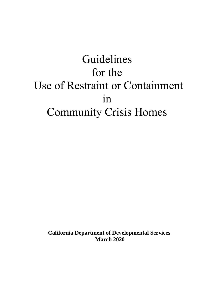# Guidelines for the Use of Restraint or Containment in Community Crisis Homes

**California Department of Developmental Services March 2020**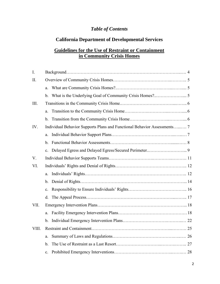# *Table of Contents*

# **California Department of Developmental Services**

# **Guidelines for the Use of Restraint or Containment in Community Crisis Homes**

| I.    |                |                                                                          |  |  |
|-------|----------------|--------------------------------------------------------------------------|--|--|
| Π.    |                |                                                                          |  |  |
|       | a.             |                                                                          |  |  |
|       | $\mathbf{b}$ . |                                                                          |  |  |
| III.  |                |                                                                          |  |  |
|       | a.             |                                                                          |  |  |
|       | $\mathbf{b}$ . |                                                                          |  |  |
| IV.   |                | Individual Behavior Supports Plans and Functional Behavior Assessments 7 |  |  |
|       | a.             |                                                                          |  |  |
|       | b.             |                                                                          |  |  |
|       | $\mathbf{c}$ . |                                                                          |  |  |
| V.    |                |                                                                          |  |  |
| VI.   |                |                                                                          |  |  |
|       | a.             |                                                                          |  |  |
|       | b.             |                                                                          |  |  |
|       | $\mathbf{c}$ . |                                                                          |  |  |
|       | d.             |                                                                          |  |  |
| VII.  |                |                                                                          |  |  |
|       | a.             |                                                                          |  |  |
|       |                |                                                                          |  |  |
| VIII. |                |                                                                          |  |  |
|       | a.             |                                                                          |  |  |
|       | b.             |                                                                          |  |  |
|       | c.             |                                                                          |  |  |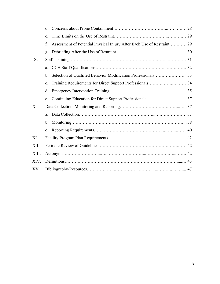|       | d.          |                                                                        |  |  |
|-------|-------------|------------------------------------------------------------------------|--|--|
|       | e.          |                                                                        |  |  |
|       | f.          | Assessment of Potential Physical Injury After Each Use of Restraint 29 |  |  |
|       | g.          |                                                                        |  |  |
| IX.   |             |                                                                        |  |  |
|       | a.          |                                                                        |  |  |
|       | b.          |                                                                        |  |  |
|       | c.          | Training Requirements for Direct Support Professionals 34              |  |  |
|       | d.          |                                                                        |  |  |
|       | e.          |                                                                        |  |  |
| X.    |             |                                                                        |  |  |
|       | a.          |                                                                        |  |  |
|       |             |                                                                        |  |  |
|       | $c_{\cdot}$ |                                                                        |  |  |
| XI.   |             |                                                                        |  |  |
| XII.  |             |                                                                        |  |  |
| XIII. |             |                                                                        |  |  |
| XIV.  |             |                                                                        |  |  |
| XV.   |             |                                                                        |  |  |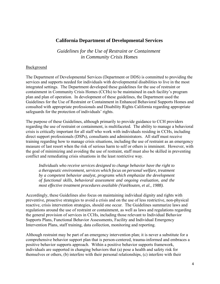# **California Department of Developmental Services**

*Guidelines for the Use of Restraint or Containment in Community Crisis Homes* 

#### Background

The Department of Developmental Services (Department or DDS) is committed to providing the services and supports needed for individuals with developmental disabilities to live in the most integrated settings. The Department developed these guidelines for the use of restraint or containment in Community Crisis Homes (CCHs) to be maintained in each facility's program plan and plan of operation. In development of these guidelines, the Department used the Guidelines for the Use of Restraint or Containment in Enhanced Behavioral Supports Homes and consulted with appropriate professionals and Disability Rights California regarding appropriate safeguards for the protection of individuals' rights.

The purpose of these Guidelines, although primarily to provide guidance to CCH providers regarding the use of restraint or containment, is multifaceted. The ability to manage a behavioral crisis is critically important for all staff who work with individuals residing in CCHs, including direct support professionals (DSPs), consultants and administrators. All staff must receive training regarding how to manage crisis situations, including the use of restraint as an emergency measure of last resort when the risk of serious harm to self or others is imminent. However, with the goal of minimizing and avoiding the use of restraint, staff must also be skilled in preventing conflict and remediating crisis situations in the least restrictive way.

*Individuals who receive services designed to change behavior have the right to a therapeutic environment, services which focus on personal welfare, treatment by a competent behavior analyst, programs which emphasize the development of functional skills, behavioral assessment and ongoing evaluation, and the most effective treatment procedures available (VanHouten, et al., 1988).* 

Accordingly, these Guidelines also focus on maintaining individual dignity and rights with preventive, proactive strategies to avoid a crisis and on the use of less restrictive, non-physical reactive, crisis intervention strategies, should one occur. The Guidelines summarize laws and regulations around the use of restraint or containment, as well as laws and regulations regarding the general provision of services in CCHs, including those relevant to Individual Behavior Supports Plans, Functional Behavior Assessments, Facility and Individual Emergency Intervention Plans, staff training, data collection, monitoring and reporting.

Although restraint may be part of an emergency intervention plan; it is never a substitute for a comprehensive behavior support plan that is person-centered, trauma-informed and embraces a positive behavior supports approach. Within a positive behavior supports framework, individuals are supported in changing behaviors that (a) pose a health and safety risk for themselves or others, (b) interfere with their personal relationships, (c) interfere with their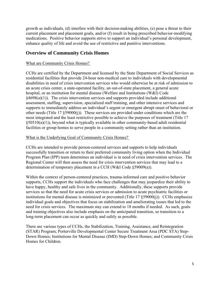growth as individuals, (d) interfere with their decision-making abilities, (e) pose a threat to their current placement and placement goals, and/or (f) result in being prescribed behavior-modifying medications. Positive behavior supports strive to support an individual's personal development, enhance quality of life and avoid the use of restrictive and punitive interventions.

# **Overview of Community Crisis Homes**

# What are Community Crisis Homes?

CCHs are certified by the Department and licensed by the State Department of Social Services as residential facilities that provide 24-hour non-medical care to individuals with developmental disabilities in need of crisis intervention services who would otherwise be at risk of admission to an acute crisis center, a state-operated facility, an out-of-state placement, a general acute hospital, or an institution for mental disease (Welfare and Institutions (W&I) Code  $§4698(a)(1)$ ). The crisis intervention services and supports provided include additional assessment, staffing, supervision, specialized staff training, and other intensive services and supports to immediately address an individual's urgent or emergent abrupt onset of behavioral or other needs (Title 17 §59000(j)). These services are provided under conditions which are the most integrated and the least restrictive possible to achieve the purposes of treatment (Title 17  $§50510(a)(1)$ , beyond what is typically available in other community-based adult residential facilities or group homes to serve people in a community setting rather than an institution.

# What is the Underlying Goal of Community Crisis Homes?

CCHs are intended to provide person-centered services and supports to help individuals successfully transition or return to their preferred community living option when the Individual Program Plan (IPP) team determines an individual is in need of crisis intervention services. The Regional Center will then assess the need for crisis intervention services that may lead to a determination of temporary placement in a CCH (W&I Code §59009(a)).

Within the context of person-centered practices, trauma-informed care and positive behavior supports, CCHs support the individuals who face challenges that may jeopardize their ability to have happy, healthy and safe lives in the community. Additionally, these supports provide services so that the need for acute crisis services or admission to acute psychiatric facilities or institutions for mental disease is minimized or prevented (Title 17 §59000(j)). CCHs emphasize individual goals and objectives that focus on stabilization and ameliorating issues that led to the need for crisis services. The maximum stay can extend to 18 months if needed. As such, goals and training objectives also include emphasis on the anticipated transition, so transition to a long-term placement can occur as quickly and safely as possible.

There are various types of CCHs, the Stabilization, Training, Assistance, and Reintegration (STAR) Program; Porterville Developmental Center Secure Treatment Area (PDC STA) Step-Down Homes; Institutions for Mental Disease (IMD) Step-Down Homes; and Community Crisis Homes for Children.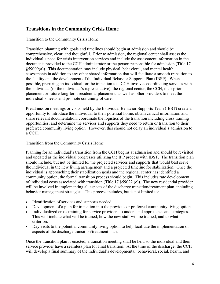# **Transitions in the Community Crisis Home**

# Transition to the Community Crisis Home

Transition planning with goals and timelines should begin at admission and should be comprehensive, clear, and thoughtful. Prior to admission, the regional center shall assess the individual's need for crisis intervention services and include the assessment information in the documents provided to the CCH administrator or the person responsible for admission (Title 17 §59009(a)). This documentation may include physical, behavioral, and mental health assessments in addition to any other shared information that will facilitate a smooth transition to the facility and the development of the Individual Behavior Supports Plan (IBSP). When possible, preparing an individual for the transition to a CCH involves coordinating services with the individual (or the individual's representative), the regional center, the CCH, their prior placement or future long-term residential placement, as well as other providers to meet the individual's needs and promote continuity of care.

Preadmission meetings or visits held by the Individual Behavior Supports Team (IBST) create an opportunity to introduce the individual to their potential home, obtain critical information and share relevant documentation, coordinate the logistics of the transition including cross training opportunities, and determine the services and supports they need to return or transition to their preferred community living option. However, this should not delay an individual's admission to a CCH.

# Transition from the Community Crisis Home

Planning for an individual's transition from the CCH begins at admission and should be revisited and updated as the individual progresses utilizing the IPP process with IBST. The transition plan should include, but not be limited to, the projected services and supports that would best serve the individual in the new living arrangement and a projected timeline for stabilization. Once the individual is approaching their stabilization goals and the regional center has identified a community option, the formal transition process should begin. This includes rate development of individual costs associated with transition (Title 17 §59022 (c)). The new residential provider will be involved in implementing all aspects of the discharge transition/treatment plan, including behavior management strategies. This process includes, but is not limited to:

- Identification of services and supports needed.
- Development of a plan for transition into the previous or preferred community living option.
- Individualized cross training for service providers to understand approaches and strategies. This will include what will be trained, how the new staff will be trained, and to what criterion.
- Day visits to the potential community living option to help facilitate the implementation of aspects of the discharge transition/treatment plan.

Once the transition plan is enacted, a transition meeting shall be held so the individual and their service provider have a seamless plan for final transition. At the time of the discharge, the CCH will develop a final summary of the individual's developmental, behavioral, social, health, and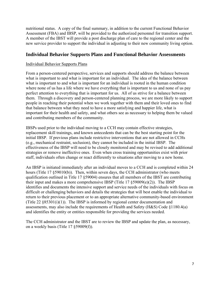nutritional status. A copy of the final summary, in addition to the current Functional Behavior Assessment (FBA) and IBSP, will be provided to the authorized personnel for transition support. A member of the IBST will provide a post discharge plan of care to the regional center and the new service provider to support the individual in adjusting to their new community living option.

# **Individual Behavior Supports Plans and Functional Behavior Assessments**

#### Individual Behavior Supports Plans

From a person-centered perspective, services and supports should address the balance between what is important to and what is important for an individual. The idea of the balance between what is important to and what is important for an individual is rooted in the human condition where none of us has a life where we have everything that is important to us and none of us pay perfect attention to everything that is important for us. All of us strive for a balance between them. Through a discovery and person-centered planning process, we are more likely to support people in reaching their potential when we work together with them and their loved ones to find that balance between what they need to have a more satisfying and happier life, what is important for their health and safety, and what others see as necessary to helping them be valued and contributing members of the community.

IBSPs used prior to the individual moving to a CCH may contain effective strategies, replacement skill trainings, and known antecedents that can be the best starting point for the initial IBSP. If previous plans include restrictive interventions that are not allowed in CCHs (e.g., mechanical restraint, seclusion), they cannot be included in the initial IBSP. The effectiveness of the IBSP will need to be closely monitored and may be revised to add additional strategies or remove ineffective ones. Even when cross training opportunities exist with prior staff, individuals often change or react differently to situations after moving to a new home.

An IBSP is initiated immediately after an individual moves to a CCH and is completed within 24 hours (Title 17 §59010(b)). Then, within seven days, the CCH administrator (who meets qualification outlined in Title 17 §59004) ensures that all members of the IBST are contributing their input and makes a more comprehensive IBSP (Title 17 §59009(e)(2)). The IBSP identifies and documents the intensive support and service needs of the individuals with focus on difficult or challenging behaviors and details the strategies that will best enable the individual to return to their previous placement or to an appropriate alternative community-based environment (Title 22 §85301(i)(1)). The IBSP is informed by regional center documentation and assessments, may also include the requirements of Health and Safety (H&S) Code §1180.4(a) and identifies the entity or entities responsible for providing the services needed.

The CCH administrator and the IBST are to review the IBSP and update the plan, as necessary, on a weekly basis (Title 17 §59009(f)).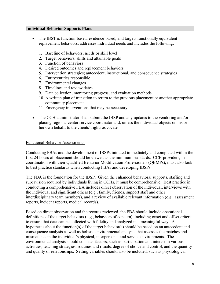#### **Individual Behavior Supports Plans**

- The IBST is function-based, evidence-based, and targets functionally equivalent replacement behaviors, addresses individual needs and includes the following:
	- 1. Baseline of behaviors, needs or skill level
	- 2. Target behaviors, skills and attainable goals
	- 3. Function of behaviors
	- 4. Desired outcomes and replacement behaviors
	- 5. Intervention strategies; antecedent, instructional, and consequence strategies
	- 6. Entity/entities responsible
	- 7. Environmental changes
	- 8. Timelines and review dates
	- 9. Data collection, monitoring progress, and evaluation methods
	- 10. A written plan of transition to return to the previous placement or another appropriate community placement
	- 11. Emergency interventions that may be necessary
- The CCH administrator shall submit the IBSP and any updates to the vendoring and/or placing regional center service coordinator and, unless the individual objects on his or her own behalf, to the clients' rights advocate.

#### Functional Behavior Assessments

Conducting FBAs and the development of IBSPs initiated immediately and completed within the first 24 hours of placement should be viewed as the minimum standards. CCH providers, in coordination with their Qualified Behavior Modification Professionals (QBMPs), must also look to best practice standards when conducting FBAs and developing IBSPs.

The FBA is the foundation for the IBSP. Given the enhanced behavioral supports, staffing and supervision required by individuals living in CCHs, it must be comprehensive. Best practice in conducting a comprehensive FBA includes direct observation of the individual, interviews with the individual and significant others (e.g., family, friends, support staff and other interdisciplinary team members), and a review of available relevant information (e.g., assessment reports, incident reports, medical records).

Based on direct observation and the records reviewed, the FBA should include operational definitions of the target behaviors (e.g., behaviors of concern), including onset and offset criteria to ensure that data can be collected with fidelity and analyzed in a meaningful way. A hypothesis about the function(s) of the target behavior(s) should be based on an antecedent and consequence analysis as well as holistic environmental analysis that assesses the matches and mismatches in the individual's physical, interpersonal and service environments. The environmental analysis should consider factors, such as participation and interest in various activities, teaching strategies, routines and rituals, degree of choice and control, and the quantity and quality of relationships. Setting variables should also be included, such as physiological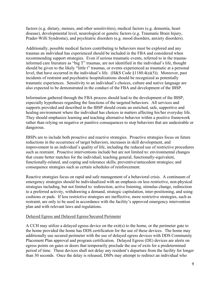factors (e.g. dietary, menses, and other sensitivities), medical factors (e.g. dementia, heart disease), developmental level, neurological or genetic factors (e.g. Traumatic Brain Injury, Prader-Willi Syndrome), and psychiatric disorders (e.g. mood disorders, anxiety disorders).

Additionally, possible medical factors contributing to behaviors must be explored and any traumas an individual has experienced should be included in the FBA and considered when recommending support strategies. Even if serious traumatic events, referred to in the traumainformed care literature as "big T" traumas, are not identified in the individual's life, thought should be given to the likely "little t" traumas, or events experienced as traumatic at a personal level, that have occurred in the individual's life. (H&S Code §1180.4(a)(5)). Moreover, past incidents of restraint and psychiatric hospitalizations should be recognized as potentially traumatic experiences. Sensitivity to an individual's choices, culture and native language are also expected to be demonstrated in the conduct of the FBA and development of the IBSP.

Information gathered through the FBA process should lead to the development of the IBSP, especially hypotheses regarding the functions of the targeted behaviors. All services and supports provided and described in the IBSP should create an enriched, safe, supportive and healing environment where the individual has choices in matters affecting his/her everyday life. They should emphasize learning and teaching alternative behavior within a positive framework rather than relying on negative or punitive consequences to stop behaviors that are undesirable or dangerous.

IBSPs are to include both proactive and reactive strategies. Proactive strategies focus on future reductions in the occurrence of target behaviors, increases in skill development, and improvement in an individual's quality of life, including the reduced use of restrictive procedures such as restraint. Proactive interventions include but are not limited to: environmental changes that create better matches for the individual; teaching general, functionally-equivalent, functionally-related, and coping and tolerance skills; preventive/antecedent strategies; and consequence strategies such as certain schedules of reinforcement.

Reactive strategies focus on rapid and safe management of a behavioral crisis. A continuum of emergency strategies should be individualized with an emphasis on less restrictive, non-physical strategies including, but not limited to: redirection; active listening, stimulus change, redirection to a preferred activity, withdrawing a demand, strategic capitulation, inter-positioning, and using cushions or pads. If less restrictive strategies are ineffective, more restrictive strategies, such as restraint, are only to be used in accordance with the facility's approved emergency intervention plan and with relevant laws and regulations.

#### Delayed Egress and Delayed Egress/Secured Perimeter

A CCH may utilize a delayed egress device on the exit(s) to the home, or the perimeter gate to the home provided the home has DDS certification for the use of these devices. The home may additionally use secured perimeter with the use of delayed egress devices with DDS Community Placement Plan approval and program certification. Delayed Egress (DE) devices are alerts on egress points on gates or doors that temporarily preclude the use of exits for a predetermined period of time. These devices shall not delay any resident's departure from the facility for longer than 30 seconds. Once the delay is released, DSPs may attempt to redirect an individual who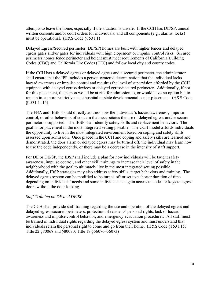attempts to leave the home, especially if the situation is unsafe. If the CCH has DE/SP, annual written consents and/or court orders for individuals; and all components (e.g., alarms, locks) must be operational. (H&S Code §1531.1)

Delayed Egress/Secured perimeter (DE/SP) homes are built with higher fences and delayed egress gates and/or gates for individuals with high elopement or impulse control risks. Secured perimeter homes fence perimeter and height must meet requirements of California Building Codes (CBC) and California Fire Codes (CFC) and follow local city and county codes.

If the CCH has a delayed egress or delayed egress and a secured perimeter, the administrator shall ensure that the IPP includes a person-centered determination that the individual lacks hazard awareness or impulse control and requires the level of supervision afforded by the CCH equipped with delayed egress devices or delayed egress/secured perimeter. Additionally, if not for this placement, the person would be at risk for admission to, or would have no option but to remain in, a more restrictive state hospital or state developmental center placement. (H&S Code §[1531.1-.15](https://1531.1-.15))

The FBA and IBSP should directly address how the individual's hazard awareness, impulse control, or other behaviors of concern that necessitates the use of delayed egress and/or secure perimeter is supported. The IBSP shall identify safety skills and replacement behaviors. The goal is for placement in the most integrated setting possible. The CCH model affords individuals the opportunity to live in the most integrated environment based on coping and safety skills assessed upon admission. Once placed in the CCH and coping and safety skills are learned and demonstrated, the door alarm or delayed egress may be turned off, the individual may learn how to use the code independently, or there may be a decrease in the intensity of staff support.

For DE or DE/SP, the IBSP shall include a plan for how individuals will be taught safety awareness, impulse control, and other skill trainings to increase their level of safety in the neighborhood with the goal to ultimately live in the most integrated setting possible. Additionally, IBSP strategies may also address safety skills, target behaviors and training. The delayed egress system can be modified to be turned off or set to a shorter duration of time depending on individuals' needs and some individuals can gain access to codes or keys to egress doors without the door locking.

# *Staff Training on DE and DE/SP*

The CCH shall provide staff training regarding the use and operation of the delayed egress and delayed egress/secured perimeters, protection of residents' personal rights, lack of hazard awareness and impulse control behavior, and emergency evacuation procedures. All staff must be trained in individual rights regarding the delayed egress system and must understand that individuals retain the personal right to come and go from their home. (H&S Code §1531.15; Title 22 §80068 and §80070; Title 17 §56070–56073)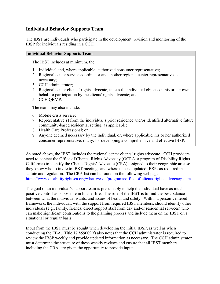# **Individual Behavior Supports Team**

The IBST are individuals who participate in the development, revision and monitoring of the IBSP for individuals residing in a CCH.

#### **Individual Behavior Supports Team**

The IBST includes at minimum, the:

- 1. Individual and, where applicable, authorized consumer representative;
- 2. Regional center service coordinator and another regional center representative as necessary;
- 3. CCH administrator;
- 4. Regional center clients' rights advocate, unless the individual objects on his or her own behalf to participation by the clients' rights advocate; and
- 5. CCH QBMP.

The team may also include:

- 6. Mobile crisis service;
- 7. Representative(s) from the individual's prior residence and/or identified alternative future community-based residential setting, as applicable;
- 8. Health Care Professional; or
- 9. Anyone deemed necessary by the individual, or, where applicable, his or her authorized consumer representative, if any, for developing a comprehensive and effective IBSP.

As noted above, the IBST includes the regional center clients' rights advocate. CCH providers need to contact the Office of Clients' Rights Advocacy (OCRA, a program of Disability Rights California) to identify the Clients Rights' Advocate (CRA) assigned to their geographic area so they know who to invite to IBST meetings and where to send updated IBSPs as required in statute and regulation. The CRA list can be found on the following webpage: <https://www.disabilityrightsca.org/what-we-do/programs/office-of-clients-rights-advocacy-ocra>

The goal of an individual's support team is presumably to help the individual have as much positive control as is possible in his/her life. The role of the IBST is to find the best balance between what the individual wants, and issues of health and safety. Within a person-centered framework, the individual, with the support from required IBST members, should identify other individuals (e.g., family, friends, direct support staff from day and/or residential services) who can make significant contributions to the planning process and include them on the IBST on a situational or regular basis.

Input from the IBST must be sought when developing the initial IBSP, as well as when conducting the FBA. Title 17 §59009(f) also notes that the CCH administrator is required to review the IBSP weekly and provide updated information as necessary. The CCH administrator must determine the structure of these weekly reviews and ensure that all IBST members, including the CRA, are given the opportunity to provide input.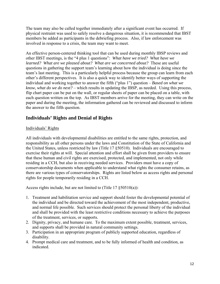The team may also be called together immediately after a significant event has occurred. If physical restraint was used to safely resolve a dangerous situation, it is recommended that IBST members be added as participants in the debriefing process. Also, if law enforcement was involved in response to a crisis, the team may want to meet.

An effective person-centered thinking tool that can be used during monthly IBSP reviews and other IBST meetings, is the "4 plus 1 questions": *What have we tried? What have we learned? What are we pleased about? What are we concerned about?* These are useful questions in gathering the support team's learning about how the individual is doing since the team's last meeting. This is a particularly helpful process because the group can learn from each other's different perspectives. It is also a quick way to identify better ways of supporting the individual and working together to answer the fifth ("plus 1") question – *Based on what we know, what do we do next?* – which results in updating the IBSP, as needed. Using this process, flip chart paper can be put on the wall, or regular sheets of paper can be placed on a table, with each question written on the top. As IBST members arrive for the meeting, they can write on the paper and during the meeting, the information gathered can be reviewed and discussed to inform the answer to the fifth question.

# **Individuals' Rights and Denial of Rights**

# Individuals' Rights

All individuals with developmental disabilities are entitled to the same rights, protection, and responsibility as all other persons under the laws and Constitution of the State of California and the United States, unless restricted by law (Title 17 §50510). Individuals are encouraged to exercise their rights at will. Special attention and effort shall be given from providers to ensure that these human and civil rights are exercised, protected, and implemented, not only while residing in a CCH, but also in receiving needed services. Providers must have a copy of conservatorship documents when applicable to understand what rights the consumer retains, as there are various types of conservatorships. Rights are listed below as access rights and personal rights for people temporarily residing in a CCH.

Access rights include, but are not limited to (Title 17 §50510(a)):

- 1. Treatment and habilitation service and support should foster the developmental potential of the individual and be directed toward the achievement of the most independent, productive, and normal life possible. Such services should protect the personal liberty of the individual and shall be provided with the least restrictive conditions necessary to achieve the purposes of the treatment, services, or supports.
- 2. Dignity, privacy, and humane care. To the maximum extent possible, treatment, services, and supports shall be provided in natural community settings.
- 3. Participation in an appropriate program of publicly supported education, regardless of disability.
- 4. Prompt medical care and treatment, and to be fully informed of health and condition, as indicated.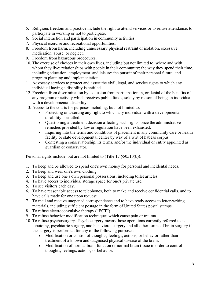- 5. Religious freedom and practice include the right to attend services or to refuse attendance, to participate in worship or not to participate.
- 6. Social interaction and participation in community activities.
- 7. Physical exercise and recreational opportunities.
- 8. Freedom from harm, including unnecessary physical restraint or isolation, excessive medication, abuse, or neglect.
- 9. Freedom from hazardous procedures.
- 10. The exercise of choices in their own lives, including but not limited to: where and with whom they live; relationships with people in their community; the way they spend their time, including education, employment, and leisure; the pursuit of their personal future; and program planning and implementation.
- 11. Advocacy services to protect and assert the civil, legal, and service rights to which any individual having a disability is entitled.
- 12. Freedom from discrimination by exclusion from participation in, or denial of the benefits of any program or activity which receives public funds, solely by reason of being an individual with a developmental disability.
- 13. Access to the courts for purposes including, but not limited to:
	- Protecting or asserting any right to which any individual with a developmental disability is entitled.
	- Questioning a treatment decision affecting such rights, once the administrative remedies provided by law or regulation have been exhausted.
	- Inquiring into the terms and conditions of placement in any community care or health facility or state developmental center by way of a writ of habeas corpus.
	- Contesting a conservatorship, its terms, and/or the individual or entity appointed as guardian or conservator.

Personal rights include, but are not limited to (Title 17 §50510(b)):

- 1. To keep and be allowed to spend one's own money for personal and incidental needs.
- 2. To keep and wear one's own clothing.
- 3. To keep and use one's own personal possessions, including toilet articles.
- 4. To have access to individual storage space for one's private use.
- 5. To see visitors each day.
- 6. To have reasonable access to telephones, both to make and receive confidential calls, and to have calls made for one upon request.
- 7. To mail and receive unopened correspondence and to have ready access to letter-writing materials, including sufficient postage in the form of United States postal stamps.
- 8. To refuse electroconvulsive therapy ("ECT").
- 9. To refuse behavior modification techniques which cause pain or trauma.
- 10. To refuse psychosurgery. Psychosurgery means those operations currently referred to as lobotomy, psychiatric surgery, and behavioral surgery and all other forms of brain surgery if the surgery is performed for any of the following purposes:
	- Modification or control of thoughts, feelings, actions, or behavior rather than treatment of a known and diagnosed physical disease of the brain.
	- Modification of normal brain function or normal brain tissue in order to control thoughts, feelings, actions, or behavior.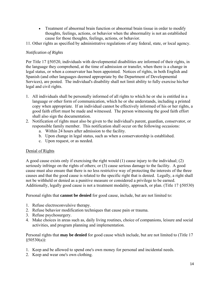- Treatment of abnormal brain function or abnormal brain tissue in order to modify thoughts, feelings, actions, or behavior when the abnormality is not an established cause for those thoughts, feelings, actions, or behavior.
- 11. Other rights as specified by administrative regulations of any federal, state, or local agency.

# *Notification of Rights*

Per Title 17 §50520, individuals with developmental disabilities are informed of their rights, in the language they comprehend, at the time of admission or transfer, when there is a change in legal status, or when a conservator has been appointed. Notices of rights, in both English and Spanish (and other languages deemed appropriate by the Department of Developmental Services), are posted. The individual's disability shall not limit ability to fully exercise his/her legal and civil rights.

- 1. All individuals shall be personally informed of all rights to which he or she is entitled in a language or other form of communication, which he or she understands, including a printed copy when appropriate. If an individual cannot be effectively informed of his or her rights, a good faith effort must be made and witnessed. The person witnessing the good faith effort shall also sign the documentation.
- 2. Notification of rights must also be given to the individual's parent, guardian, conservator, or responsible family member. This notification shall occur on the following occasions:
	- a. Within 24 hours after admission to the facility.
	- b. Upon change in legal status, such as when a conservatorship is established.
	- c. Upon request, or as needed.

# Denial of Rights

A good cause exists only if exercising the right would (1) cause injury to the individual; (2) seriously infringe on the rights of others; or (3) cause serious damage to the facility. A good cause must also ensure that there is no less restrictive way of protecting the interests of the three causes and that the good cause is related to the specific right that is denied. Legally, a right shall not be withheld or denied as a punitive measure or considered a privilege to be earned. Additionally, legally good cause is not a treatment modality, approach, or plan. (Title 17 §50530)

Personal rights that **cannot be denied** for good cause, include, but are not limited to:

- 1. Refuse electroconvulsive therapy.
- 2. Refuse behavior modification techniques that cause pain or trauma.
- 3. Refuse psychosurgery.
- 4. Make choices in areas such as, daily living routines, choice of companions, leisure and social activities, and program planning and implementation.

Personal rights that **may be denied** for good cause which include, but are not limited to (Title 17  $§50530(a)$ :

- 1. Keep and be allowed to spend one's own money for personal and incidental needs.
- 2. Keep and wear one's own clothing.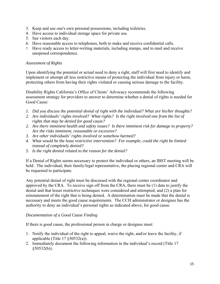- 3. Keep and use one's own personal possessions, including toiletries.
- 4. Have access to individual storage space for private use.
- 5. See visitors each day.
- 6. Have reasonable access to telephones, both to make and receive confidential calls.
- 7. Have ready access to letter-writing materials, including stamps, and to mail and receive unopened correspondence.

# *Assessment of Rights*

Upon identifying the potential or actual need to deny a right, staff will first need to identify and implement or attempt all less restrictive means of protecting the individual from injury or harm, protecting others from having their rights violated or causing serious damage to the facility.

Disability Rights California's Office of Clients' Advocacy recommends the following assessment strategy for providers to answer to determine whether a denial of rights is needed for Good Cause:

- *1. Did you discuss the potential denial of right with the individual? What are his/her thoughts?*
- *2. Are individuals' rights involved? What rights? Is the right involved one from the list of rights that may be denied for good cause?*
- *2. Are there imminent health and safety issues? Is there imminent risk for damage to property? Are the risks imminent, reasonable or excessive?*
- *3. Are other individuals' rights involved or somehow harmed?*
- *4. What would be the least restrictive intervention? For example, could the right be limited instead of completely denied?*
- *5. Is the right denied related to the reason for the denial?*

If a Denial of Rights seems necessary to protect the individual or others, an IBST meeting will be held. The individual, their family/legal representative, the placing regional center and CRA will be requested to participate.

Any potential denial of right must be discussed with the regional center coordinator and approved by the CRA. To receive sign off from the CRA, there must be (1) data to justify the denial and that lesser restrictive techniques were considered and attempted; and (2) a plan for reinstatement of the right that is being denied. A determination must be made that the denial is necessary and meets the good cause requirements. The CCH administrator or designee has the authority to deny an individual's personal rights as indicated above, for good cause.

# *Documentation of a Good Cause Finding*

If there is good cause, the professional person in charge or designee must:

- 1. Notify the individual of the right to appeal, waive the right, and/or leave the facility, if applicable (Title 17 §50532(a)).
- 2. Immediately document the following information in the individual's record (Title 17 §50532(b)).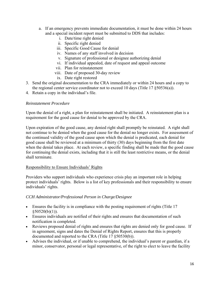- and a special incident report must be submitted to DDS that includes: i. Date/time right denied a. If an emergency prevents immediate documentation, it must be done within 24 hours
	-
	- ii. Specific right denied
	- iii. Specific Good Cause for denial
	- iv. Names of any staff involved in decision
	- v. Signature of professional or designee authorizing denial
	- vi. If individual appealed, date of request and appeal outcome vii. Plan for reinstatement
	-
	- viii. Date of proposed 30-day review
		- ix. Date right restored
- 3. Send the original documentation to the CRA immediately or within 24 hours and a copy to the regional center service coordinator not to exceed 10 days (Title 17 §50536(a)).
- 4. Retain a copy in the individual's file.

#### *Reinstatement Procedure*

Upon the denial of a right, a plan for reinstatement shall be initiated. A reinstatement plan is a requirement for the good cause for denial to be approved by the CRA.

Upon expiration of the good cause, any denied right shall promptly be reinstated. A right shall not continue to be denied when the good cause for the denial no longer exists. For assessment of the continued validity of the good cause upon which the denial is predicated, each denial for good cause shall be reviewed at a minimum of thirty (30) days beginning from the first date when the denial takes place. At each review, a specific finding shall be made that the good cause for continuing the denial exists, including that it is still the least restrictive means, or the denial shall terminate.

#### Responsibility to Ensure Individuals' Rights

Providers who support individuals who experience crisis play an important role in helping protect individuals' rights. Below is a list of key professionals and their responsibility to ensure individuals' rights.

#### *CCH Administrator/Professional Person in Charge/Designee*

- Ensures the facility is in compliance with the posting requirement of rights (Title 17  $$50520(b)(1)).$
- notification is completed. Ensures individuals are notified of their rights and ensures that documentation of such
- Reviews proposed denial of rights and ensures that rights are denied only for good cause. If in agreement, signs and dates the Denial of Rights Report, ensures that this is properly documented and reported to the CRA (Title 17 §50530(b)).
- Advises the individual, or if unable to comprehend, the individual's parent or guardian, if a minor, conservator, personal or legal representative, of the right to elect to leave the facility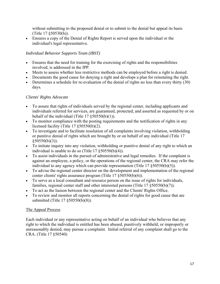without submitting to the proposed denial or to submit to the denial but appeal its basis (Title 17 §50530(h)).

 Ensures a copy of the Denial of Rights Report is served upon the individual or the individual's legal representative.

# *Individual Behavior Supports Team (IBST)*

- Ensures that the need for training for the exercising of rights and the responsibilities involved, is addressed in the IPP.
- Meets to assess whether less restrictive methods can be employed before a right is denied.
- Documents the good cause for denying a right and develops a plan for reinstating the right.
- Determines a schedule for re-evaluation of the denial of rights no less than every thirty (30) days.

# *Clients' Rights Advocate*

- To assure that rights of individuals served by the regional center, including applicants and individuals referred for services, are guaranteed, protected, and asserted as requested by or on behalf of the individual (Title  $17 \xi 50550(b)(1)$ ).
- To monitor compliance with the posting requirements and the notification of rights in any licensed facility (Title 17 §50550(b)(2).
- To investigate and to facilitate resolution of all complaints involving violation, withholding or punitive denial of rights which are brought by or on behalf of any individual (Title 17 §50550(b)(3)).
- To initiate inquiry into any violation, withholding or punitive denial of any right to which an individual is unable to do so (Title 17 §50550(b)(4)).
- To assist individuals in the pursuit of administrative and legal remedies. If the complaint is against an employee, a policy, or the operations of the regional center, the CRA may refer the individual to any agency which can provide representation (Title 17 §50550(b)(5)).
- To advise the regional center director on the development and implementation of the regional center clients' rights assurance program (Title 17 §50550(b)(6)).
- To serve as a local consultant and resource person on the issue of rights for individuals, families, regional center staff and other interested persons (Title 17 §50550(b)(7)).
- To act as the liaison between the regional center and the Clients' Rights Office.
- To review and monitor all reports concerning the denial of rights for good cause that are submitted (Title 17 §50550(b)(8)).

# The Appeal Process

Each individual or any representative acting on behalf of an individual who believes that any right to which the individual is entitled has been abused, punitively withheld, or improperly or unreasonably denied, may pursue a complaint. Initial referral of any complaint shall go to the CRA. (Title 17 §50540)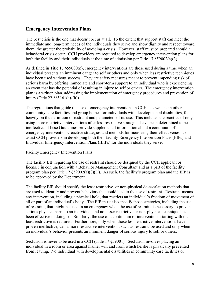# **Emergency Intervention Plans**

The best crisis is the one that doesn't occur at all. To the extent that support staff can meet the immediate and long-term needs of the individuals they serve and show dignity and respect toward them, the greater the probability of avoiding a crisis. However, staff must be prepared should a behavioral crisis occur. CCH providers are required to develop emergency intervention plans for both the facility and their individuals at the time of admission per Title 17 §59002(a)(3).

As defined in Title 17  $\S59000(n)$ , emergency interventions are those used during a time when an individual presents an imminent danger to self or others and only when less restrictive techniques have been used without success. They are safety measures meant to prevent impending risk of serious harm by offering immediate and short-term support to an individual who is experiencing an event that has the potential of resulting in injury to self or others. The emergency intervention plan is a written plan, addressing the implementation of emergency procedures and prevention of injury (Title 22 §85161(a)-(h)).

The regulations that guide the use of emergency interventions in CCHs, as well as in other community care facilities and group homes for individuals with developmental disabilities, focus heavily on the definition of restraint and parameters of its use. This includes the practice of only using more restrictive interventions after less restrictive strategies have been determined to be ineffective. These Guidelines provide supplemental information about a continuum of emergency interventions/reactive strategies and methods for measuring their effectiveness to assist CCH providers in developing both their facility Emergency Intervention Plans (EIPs) and Individual Emergency Intervention Plans (IEIPs) for the individuals they serve.

#### Facility Emergency Intervention Plans

The facility EIP regarding the use of restraint should be designed by the CCH applicant or licensee in conjunction with a Behavior Management Consultant and as a part of the facility program plan per Title 17  $\S 59002(a)(8)(D)$ . As such, the facility's program plan and the EIP is to be approved by the Department.

The facility EIP should specify the least restrictive, or non-physical de-escalation methods that are used to identify and prevent behaviors that could lead to the use of restraint. Restraint means any intervention, including a physical hold, that restricts an individual's freedom of movement of all or part of an individual's body. The EIP must also specify those strategies, including the use of restraint, that might be used in an emergency when the use of restraint is necessary to prevent serious physical harm to an individual and no lesser restrictive or non-physical technique has been effective in doing so. Similarly, the use of a continuum of interventions starting with the least restrictive is required. Furthermore, only when those less restrictive interventions have proven ineffective, can a more restrictive intervention, such as restraint, be used and only when an individual's behavior presents an imminent danger of serious injury to self or others.

Seclusion is never to be used in a CCH (Title 17 §59001). Seclusion involves placing an individual in a room or area against his/her will and from which he/she is physically prevented from leaving. No individual with developmental disabilities in community care facilities or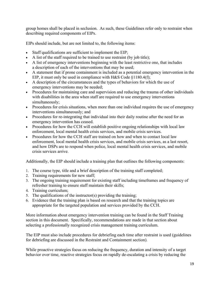group homes shall be placed in seclusion. As such, these Guidelines refer only to restraint when describing required components of EIPs.

EIPs should include, but are not limited to, the following items:

- Staff qualifications are sufficient to implement the EIP;
- A list of the staff required to be trained to use restraint (by job title);
- A list of emergency interventions beginning with the least restrictive one, that includes a description of each of the interventions that may be used;
- A statement that if prone containment is included as a potential emergency intervention in the EIP, it must only be used in compliance with H&S Code §1180.4(f);
- A description of the circumstances and the types of behaviors for which the use of emergency interventions may be needed;
- Procedures for maintaining care and supervision and reducing the trauma of other individuals with disabilities in the area when staff are required to use emergency interventions simultaneously;
- Procedures for crisis situations, when more than one individual requires the use of emergency interventions simultaneously; and
- Procedures for re-integrating that individual into their daily routine after the need for an emergency intervention has ceased.
- Procedures for how the CCH will establish positive ongoing relationships with local law enforcement, local mental health crisis services, and mobile crisis services.
- Procedures for how the CCH staff are trained on how and when to contact local law enforcement, local mental health crisis services, and mobile crisis services, as a last resort, and how DSPs are to respond when police, local mental health crisis services, and mobile crisis services arrive.

Additionally, the EIP should include a training plan that outlines the following components:

- 1. The course type, title and a brief description of the training staff completed;
- 2. Training requirements for new staff;
- 3. The ongoing training requirement for existing staff including timeframes and frequency of refresher training to ensure staff maintain their skills;
- 4. Training curriculum;
- 5. The qualifications of the instructor(s) providing the training;
- 6. Evidence that the training plan is based on research and that the training topics are appropriate for the targeted population and services provided by the CCH.

More information about emergency intervention training can be found in the Staff Training section in this document. Specifically, recommendations are made in that section about selecting a professionally recognized crisis management training curriculum.

The EIP must also include procedures for debriefing each time after restraint is used (guidelines for debriefing are discussed in the Restraint and Containment section).

While proactive strategies focus on reducing the frequency, duration and intensity of a target behavior over time, reactive strategies focus on rapidly de-escalating a crisis by reducing the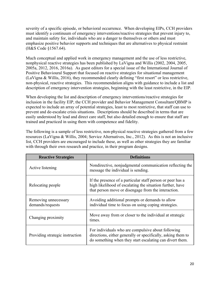severity of a specific episode, or behavioral occurrence. When developing EIPs, CCH providers must identify a continuum of emergency interventions/reactive strategies that prevent injury to, and maintain safety for, individuals who are a danger to themselves or others and must emphasize positive behavior supports and techniques that are alternatives to physical restraint (H&S Code §1567.64).

Much conceptual and applied work in emergency management and the use of less restrictive, nonphysical reactive strategies has been published by LaVigna and Willis (2002, 2004, 2005, 2005a, 2012, 2016, 2016a). As guest editors for a special issue of the International Journal of Positive Behavioural Support that focused on reactive strategies for situational management (LaVigna & Willis, 2016), they recommended clearly defining "first resort" or less restrictive, non-physical, reactive strategies. This recommendation aligns with guidance to include a list and description of emergency intervention strategies, beginning with the least restrictive, in the EIP.

When developing the list and description of emergency interventions/reactive strategies for inclusion in the facility EIP, the CCH provider and Behavior Management Consultant/QBMP is expected to include an array of potential strategies, least to most restrictive, that staff can use to prevent and de-escalate crisis situations. Descriptions should be described in terms that are easily understood by lead and direct care staff, but also detailed enough to ensure that staff are trained and practiced in using them with competence and fidelity.

The following is a sample of less restrictive, non-physical reactive strategies gathered from a few resources (LaVigna & Willis, 2004; Service Alternatives, Inc., 2012). As this is not an inclusive list, CCH providers are encouraged to include these, as well as other strategies they are familiar with through their own research and practice, in their program designs.

| <b>Reactive Strategies</b>               | <b>Definitions</b>                                                                                                                                                             |
|------------------------------------------|--------------------------------------------------------------------------------------------------------------------------------------------------------------------------------|
| Active listening                         | Nondirective, nonjudgmental communication reflecting the<br>message the individual is sending.                                                                                 |
| Relocating people                        | If the presence of a particular staff person or peer has a<br>high likelihood of escalating the situation further, have<br>that person move or disengage from the interaction. |
| Removing unnecessary<br>demands/requests | Avoiding additional prompts or demands to allow<br>individual time to focus on using coping strategies.                                                                        |
| Changing proximity                       | Move away from or closer to the individual at strategic<br>times.                                                                                                              |
| Providing strategic instruction          | For individuals who are compulsive about following<br>directions, either generally or specifically, asking them to<br>do something when they start escalating can divert them. |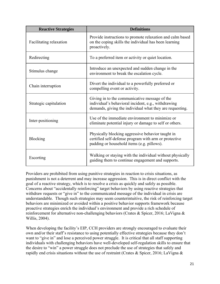| <b>Reactive Strategies</b> | <b>Definitions</b>                                                                                                                                               |  |
|----------------------------|------------------------------------------------------------------------------------------------------------------------------------------------------------------|--|
| Facilitating relaxation    | Provide instructions to promote relaxation and calm based<br>on the coping skills the individual has been learning<br>proactively.                               |  |
| Redirecting                | To a preferred item or activity or quiet location.                                                                                                               |  |
| Stimulus change            | Introduce an unexpected and sudden change in the<br>environment to break the escalation cycle.                                                                   |  |
| Chain interruption         | Divert the individual to a powerfully preferred or<br>compelling event or activity.                                                                              |  |
| Strategic capitulation     | Giving in to the communicative message of the<br>individual's behavioral incident, e.g., withdrawing<br>demands, giving the individual what they are requesting. |  |
| Inter-positioning          | Use of the immediate environment to minimize or<br>eliminate potential injury or damage to self or others.                                                       |  |
| Blocking                   | Physically blocking aggressive behavior taught in<br>certified self-defense program with arm or protective<br>padding or household items (e.g. pillows).         |  |
| Escorting                  | Walking or staying with the individual without physically<br>guiding them to continue engagement and supports.                                                   |  |

Providers are prohibited from using punitive strategies in reaction to crisis situations, as punishment is not a deterrent and may increase aggression. This is in direct conflict with the goal of a reactive strategy, which is to resolve a crisis as quickly and safely as possible. Concerns about "accidentally reinforcing" target behaviors by using reactive strategies that withdraw requests or "give in" to the communicated message of the individual in crisis are understandable. Though such strategies may seem counterintuitive, the risk of reinforcing target behaviors are minimized or avoided within a positive behavior supports framework because proactive strategies enrich the individual's environment and provide a rich schedule of reinforcement for alternative non-challenging behaviors (Crates & Spicer, 2016; LaVigna & Willis, 2004).

When developing the facility's EIP, CCH providers are strongly encouraged to evaluate their own and/or their staff's resistance to using potentially effective strategies because they don't want to "give in" and lose a perceived power struggle. It is critical that all staff supporting individuals with challenging behaviors have well-developed self-regulation skills to ensure that the desire to "win" a power struggle does not preclude the use of strategies that safely and rapidly end crisis situations without the use of restraint (Crates & Spicer, 2016; LaVigna &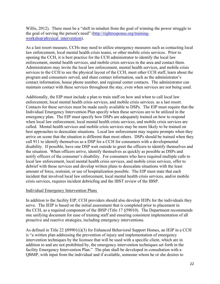Willis, 2012). There must be a "shift in mindset from the goal of winning the power struggle to the goal of serving the person's need" [\(http://rightresponse.org/training](http://rightresponse.org/training)workshop/physical\_intervention).

As a last resort measure, CCHs may need to utilize emergency measures such as contacting local law enforcement, local mental health crisis teams, or other mobile crisis services. Prior to opening the CCH, it is best practice for the CCH administrator to identify the local law enforcement, mental health services, and mobile crisis services in the area and contact them. Administrators may invite the local law enforcement, mental health services, and mobile crisis services to the CCH to see the physical layout of the CCH, meet other CCH staff, learn about the program and consumers served, and share contact information, such as the administrator's contact information, house phone number, and regional center contacts. The administrator can maintain contact with these services throughout the stay, even when services are not being used.

Additionally, the EIP must include a plan to train staff on how and when to call local law enforcement, local mental health crisis services, and mobile crisis services. as a last resort. Contacts for these services must be made easily available to DSPs. The EIP must require that the Individual Emergency Intervention Plan specify when these services are to be utilized in the emergency plan. The EIP must specify how DSPs are adequately trained on how to respond when local law enforcement, local mental health crisis services, and mobile crisis services are called. Mental health services and mobile crisis services may be more likely to be trained on best approaches to deescalate situations. Local law enforcement may require prompts when they arrive on scene that the situation is different than most others. DSPs should be trained when they call 911 to identify themselves as a DSP for a CCH for consumers with a developmental disability. If possible, have one DSP wait outside to greet the officers to identify themselves and the situation. When officers arrive, identify themselves as quickly as possible as DSPs and notify officers of the consumer's disability. For consumers who have required multiple calls to local law enforcement, local mental health crisis services, and mobile crisis services, offer to debrief with those services and develop written plans to deescalate situations with the least amount of force, restraint, or use of hospitalization possible. The EIP must state that each incident that involved local law enforcement, local mental health crisis services, and/or mobile crisis services, requires incident debriefing and the IBST review of the IBSP.

# Individual Emergency Intervention Plans

In addition to the facility EIP, CCH providers should also develop IEIPs for the individuals they serve. The IEIP is based on the initial assessment that is completed prior to placement in the CCH, as a required component of the IBSP (Title 17 §59010). The Department recommends one unifying document for ease of training staff and ensuring consistent implementation of all proactive and reactive strategies, including emergency interventions.

As defined in Title 22 §89901(i)(3) for Enhanced Behavioral Support Homes, an IEIP in a CCH is "a written plan addressing the prevention of injury and implementation of emergency intervention techniques by the licensee that will be used with a specific client, which are in addition to and are not prohibited by, the emergency intervention techniques set forth in the facility Emergency Intervention Plan." The plan shall be developed in consultation with a QBMP, with input from the individual and if available, someone whom he or she desires to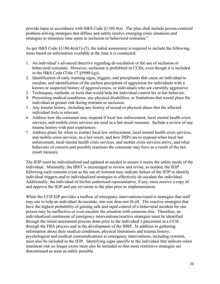provide input in accordance with H&S Code §1180.4(a). The plan shall include person-centered problem-solving strategies that diffuse and safely resolve emerging crisis situations and strategies to minimize time spent in seclusion or behavioral restraints."

As per H&S Code  $\S1180.4(a)(1)-(5)$ , the initial assessment is required to include the following items based on information available at the time it is conducted:

- in the H&S Code (Title  $17 \xi$ 59001(g)). 1. An individual's advanced directive regarding de-escalation or the use of seclusion or behavioral restraints. However, seclusion is prohibited in CCHs, even though it is included
- 2. Identification of early warning signs, triggers, and precipitants that cause an individual to escalate, and identification of the earliest precipitant of aggression for individuals with a known or suspected history of aggressiveness, or individuals who are currently aggressive.
- 3. Techniques, methods, or tools that would help the individual control his or her behavior.
- 4. Preexisting medical conditions, any physical disabilities, or limitations that would place the individual at greater risk during restraint or seclusion.
- 5. Any trauma history, including any history of sexual or physical abuse that the affected individual feels is relevant.
- 6. Address how the consumer may respond if local law enforcement, local mental health crisis services, and mobile crisis services are used as a last resort measure. Include a review of any trauma history with past experiences.
- 7. Address plans for when to contact local law enforcement, local mental health crisis services, and mobile crisis services, as a last resort, and how DSPs are to respond when local law enforcement, local mental health crisis services, and mobile crisis services arrive, and what behaviors of concern and possible reactions the consumer may have as a result of the last resort measure.

The IEIP must be individualized and updated as needed to ensure it meets the safety needs of the individual. Minimally, the IBST is encouraged to review and revise, as needed, the IEIP following each restraint event as the use of restraint may indicate failure of the IEIP to identify individual triggers and/or individualized strategies to effectively de-escalate the individual. Additionally, the individual or his/her authorized representative, if any, must receive a copy of and approve the IEIP and any revisions to the plan prior to implementation.

While the CCH EIP provides a toolbox of emergency interventions/reactive strategies that staff may use to help an individual de-escalate, one size does not fit all. The reactive strategies that have the highest probability of gaining safe and rapid control of a behavioral incident for one person may be ineffective or even escalate the situation with someone else. Therefore, an individualized continuum of emergency interventions/reactive strategies must be identified through the initial assessment process done prior to the individual's placement in a CCH, through the FBA process and in the development of the IBSP. In addition to gathering information about their medical conditions, physical limitations and trauma history; psychological and medical contraindications to emergency interventions, including restraint, must also be included in the IEIP. Identifying signs specific to the individual that indicate when imminent risk no longer exists must also be included so that more restrictive strategies are discontinued as soon as safely possible.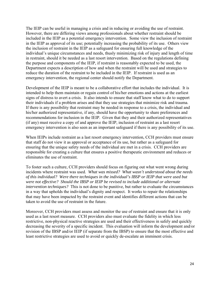The IEIP can be useful in managing a crisis and in reducing or avoiding the use of restraint. However, there are differing views among professionals about whether restraint should be included in the IEIP as a potential emergency intervention. Some view the inclusion of restraint in the IEIP as approval of its use; potentially increasing the probability of its use. Others view the inclusion of restraint in the IEIP as a safeguard for ensuring full knowledge of the individual's unique circumstances and needs, thusly minimizing risk of injury and length of time in restraint, should it be needed as a last resort intervention. Based on the regulations defining the purpose and components of the IEIP, if restraint is reasonably expected to be used, the Department expects a description of how and when the restraint will be used and strategies to reduce the duration of the restraint to be included in the IEIP. If restraint is used as an emergency intervention, the regional center should notify the Department.

Development of the IEIP is meant to be a collaborative effort that includes the individual. It is intended to help them maintain or regain control of his/her emotions and actions at the earliest signs of distress to avert a crisis. It also intends to ensure that staff know what to do to support their individuals if a problem arises and that they use strategies that minimize risk and trauma. If there is any possibility that restraint may be needed in response to a crisis, the individual and his/her authorized representative, if any, should have the opportunity to share preferences and recommendations for inclusion in the IEIP. Given that they and their authorized representatives (if any) must receive a copy of and approve the IEIP, inclusion of restraint as a last resort emergency intervention is also seen as an important safeguard if there is any possibility of its use.

When IEIPs include restraint as a last resort emergency intervention, CCH providers must ensure that staff do not view it as approval or acceptance of its use, but rather as a safeguard for ensuring that the unique safety needs of the individual are met in a crisis. CCH providers are responsible for creating a culture that ensures a positive therapeutic environment and reduces or eliminates the use of restraint.

 *of this individual? Were there techniques in the individual's IBSP or IEIP that were used but*  To foster such a culture, CCH providers should focus on figuring out what went wrong during incidents where restraint was used. *What was missed? What wasn't understood about the needs were not effective? Should the IBSP or IEIP be revised to include additional or alternate intervention techniques?* This is not done to be punitive, but rather to evaluate the circumstances in a way that upholds the individual's dignity and respect. It works to repair the relationships that may have been impacted by the restraint event and identifies different actions that can be taken to avoid the use of restraint in the future.

Moreover, CCH providers must assess and monitor the use of restraint and ensure that it is only used as a last resort measure. CCH providers also must evaluate the fidelity in which less restrictive, non-physical reactive strategies are used and their effectiveness in safely and quickly decreasing the severity of a specific incident. This evaluation will inform the development and/or revision of the IBSP and/or IEIP (if separate from the IBSP) to ensure that the most effective and least restrictive strategies are used to avoid or quickly de-escalate an imminent crisis.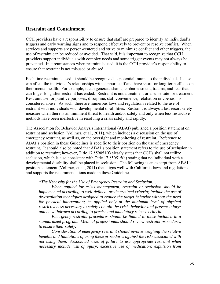# **Restraint and Containment**

CCH providers have a responsibility to ensure that staff are prepared to identify an individual's triggers and early warning signs and to respond effectively to prevent or resolve conflict. When services and supports are person-centered and strive to minimize conflict and other triggers, the use of restraint can be reduced or avoided. That said, it is important to recognize that CCH providers support individuals with complex needs and some trigger events may not always be prevented. In circumstances when restraint is used, it is the CCH provider's responsibility to ensure that restraint is not misused or abused.

Each time restraint is used, it should be recognized as potential trauma to the individual. Its use can affect the individual's relationships with support staff and have short- or long-term effects on their mental health. For example, it can generate shame, embarrassment, trauma, and fear that can linger long after restraint has ended. Restraint is not a treatment or a substitute for treatment. Restraint use for punitive purposes, discipline, staff convenience, retaliation or coercion is considered abuse. As such, there are numerous laws and regulations related to the use of restraint with individuals with developmental disabilities. Restraint is always a last resort safety measure when there is an imminent threat to health and/or safety and only when less restrictive methods have been ineffective in resolving a crisis safely and rapidly.

The Association for Behavior Analysis International (ABAI) published a position statement on restraint and seclusion (Vollmer, et al., 2011), which includes a discussion on the use of emergency restraint, as well as, on the oversight and monitoring of restraint. Reference to ABAI's position in these Guidelines is specific to their position on the use of emergency restraint. It should also be noted that ABAI's position statement refers to the use of seclusion in addition to restraint; however, Title 17 §59051(f) clearly states that CCHs shall not utilize seclusion, which is also consistent with Title 17 §50515(a) stating that no individual with a developmental disability shall be placed in seclusion. The following is an excerpt from ABAI's position statement (Vollmer, et al., 2011) that aligns well with California laws and regulations and supports the recommendations made in these Guidelines.

#### *"The Necessity for the Use of Emergency Restraint and Seclusion…*

*When applied for crisis management, restraint or seclusion should be implemented according to well-defined, predetermined criteria; include the use of de-escalation techniques designed to reduce the target behavior without the need for physical intervention; be applied only at the minimum level of physical restrictiveness necessary to safely contain the crisis behavior and prevent injury; and be withdrawn according to precise and mandatory release criteria.* 

*Emergency restraint procedures should be limited to those included in a standardized program. Medical professionals should review restraint procedures to ensure their safety.* 

*Consideration of emergency restraint should involve weighing the relative benefits and limitations of using these procedures against the risks associated with not using them. Associated risks of failure to use appropriate restraint when necessary include risk of injury; excessive use of medication; expulsion from*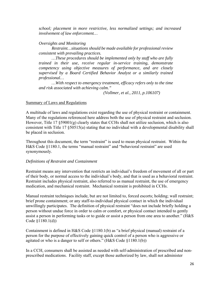*school; placement in more restrictive, less normalized settings; and increased involvement of law enforcement…* 

#### *Oversights and Monitoring*

*Restraint…situations should be made available for professional review consistent with prevailing practices.* 

*…These procedures should be implemented only by staff who are fully trained in their use, receive regular in-service training, demonstrate competency using objective measures of performance, and are closely supervised by a Board Certified Behavior Analyst or a similarly trained professional…* 

*…With respect to emergency treatment, efficacy refers only to the time and risk associated with achieving calm."* 

*(Vollmer, et al., 2011, p.106107)* 

#### Summary of Laws and Regulations

A multitude of laws and regulations exist regarding the use of physical restraint or containment. Many of the regulations referenced here address both the use of physical restraint and seclusion. However, Title 17 §59001(g) clearly states that CCHs shall not utilize seclusion, which is also consistent with Title 17 §50515(a) stating that no individual with a developmental disability shall be placed in seclusion.

Throughout this document, the term "restraint" is used to mean physical restraint. Within the H&S Code §1180.1, the terms "manual restraint" and "behavioral restraint" are used synonymously.

# *Definitions of Restraint and Containment*

Restraint means any intervention that restricts an individual's freedom of movement of all or part of their body, or normal access to the individual's body, and that is used as a behavioral restraint. Restraint includes physical restraint, also referred to as manual restraint, the use of emergency medication, and mechanical restraint. Mechanical restraint is prohibited in CCHs.

Manual restraint techniques include, but are not limited to, forced escorts; holding; wall restraint; brief prone containment; or any staff-to-individual physical contact in which the individual unwillingly participates. The definition of physical restraint "does not include briefly holding a person without undue force in order to calm or comfort, or physical contact intended to gently assist a person in performing tasks or to guide or assist a person from one area to another." (H&S Code §1180.1(d))

Containment is defined in H&S Code §1180.1(b) as "a brief physical (manual) restraint of a person for the purpose of effectively gaining quick control of a person who is aggressive or agitated or who is a danger to self or others." (H&S Code §1180.1(b))

In a CCH, consumers shall be assisted as needed with self-administration of prescribed and nonprescribed medications. Facility staff, except those authorized by law, shall not administer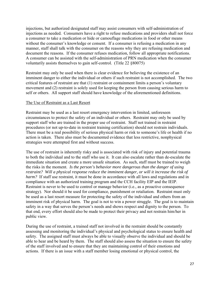injections, but authorized designated staff may assist consumers with self-administration of injections as needed. Consumers have a right to refuse medications and providers shall not force a consumer to take a medication or hide or camouflage medications in food or other means without the consumer's knowledge or consent. If a consumer is refusing a medication in any manner, staff shall talk with the consumer on the reasons why they are refusing medication and document the reasons. If the consumer refuses medication, follow all appropriate notifications. A consumer can be assisted with the self-administration of PRN medication when the consumer voluntarily assists themselves to gain self-control. (Title 22 §80075)

Restraint may only be used when there is clear evidence for believing the existence of an imminent danger to either the individual or others if such restraint is not accomplished. The two critical features of restraint are that (1) restraint or containment limits a person's voluntary movement and (2) restraint is solely used for keeping the person from causing serious harm to self or others. All support staff should have knowledge of the aforementioned definitions.

#### The Use of Restraint as a Last Resort

Restraint may be used as a last resort emergency intervention in limited, unforeseen circumstances to protect the safety of an individual or others. Restraint may only be used by support staff who are trained in the proper use of restraint. Staff not trained in restraint procedures (or not up-to-date in restraint training certification) should not restrain individuals. There must be a real possibility of serious physical harm or risk to someone's life or health if no action is taken. There also must be documented evidence that less restrictive, nonphysical strategies were attempted first and without success.

The use of restraint is inherently risky and is associated with risk of injury and potential trauma to both the individual and to the staff who use it. It can also escalate rather than de-escalate the immediate situation and create a more unsafe situation. As such, staff must be trained to weigh the risks in the moment. *Is the person's behavior more dangerous than the danger of using restraint? Will a physical response reduce the imminent danger, or will it increase the risk of harm?* If staff use restraint, it must be done in accordance with all laws and regulations and in compliance with an authorized training program and the CCH facility EIP and the IEIP. Restraint is never to be used to control or manage behavior (i.e., as a proactive consequence strategy). Nor should it be used for compliance, punishment or retaliation. Restraint must only be used as a last resort measure for protecting the safety of the individual and others from an imminent risk of physical harm. The goal is not to win a power struggle. The goal is to maintain safety in a way that serves the person's needs and shows respect and dignity to the person. To that end, every effort should also be made to protect their privacy and not restrain him/her in public view.

During the use of restraint, a trained staff not involved in the restraint should be constantly assessing and monitoring the individual's physical and psychological status to ensure health and safety. The assigned staff must always be able to visually observe the individual and should be able to hear and be heard by them. The staff should also assess the situation to ensure the safety of the staff involved and to ensure that they are maintaining control of their emotions and actions. If there is an issue with a staff member losing emotional or physical control, the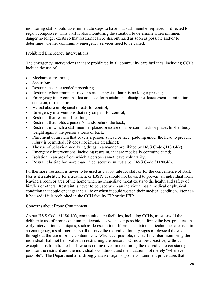monitoring staff should take immediate steps to have that staff member replaced or directed to regain composure. This staff is also monitoring the situation to determine when imminent danger no longer exists so that restraint can be discontinued as soon as possible and/or to determine whether community emergency services need to be called.

# Prohibited Emergency Interventions

The emergency interventions that are prohibited in all community care facilities, including CCHs include the use of:

- Mechanical restraint;
- Seclusion:
- Restraint as an extended procedure;
- Restraint when imminent risk or serious physical harm is no longer present;
- Emergency interventions that are used for punishment, discipline, harassment, humiliation, coercion, or retaliation;
- Verbal abuse or physical threats for control;
- Emergency interventions that rely on pain for control;
- Restraint that restricts breathing;
- Restraint that holds a person's hands behind the back;
- Restraint in which a staff member places pressure on a person's back or places his/her body weight against the person's torso or back;
- Placement of an item that covers a person's head or face (padding under the head to prevent injury is permitted if it does not impair breathing);
- The use of behavior modifying drugs in a manner prohibited by H&S Code §1180.4(k);
- Emergency interventions, including restraint, that are medically contraindicated;
- Isolation in an area from which a person cannot leave voluntarily;
- Restraint lasting for more than 15 consecutive minutes per H&S Code §1180.4(h).

Furthermore, restraint is never to be used as a substitute for staff or for the convenience of staff. Nor is it a substitute for a treatment or IBSP. It should not be used to prevent an individual from leaving a room or area of the home when no immediate threat exists to the health and safety of him/her or others. Restraint is never to be used when an individual has a medical or physical condition that could endanger their life or when it could worsen their medical condition. Nor can it be used if it is prohibited in the CCH facility EIP or the IEIP.

# Concerns about Prone Containment

As per H&S Code §1180.4(f), community care facilities, including CCHs, must "avoid the deliberate use of prone containment techniques whenever possible, utilizing the best practices in early intervention techniques, such as de-escalation. If prone containment techniques are used in an emergency, a staff member shall observe the individual for any signs of physical duress throughout the use of prone containment. Whenever possible, the staff member monitoring the individual shall not be involved in restraining the person." Of note, best practice, without exception, is for a trained staff who is not involved in restraining the individual to constantly monitor the restraint and the individual's condition, and the situation, not merely "whenever possible". The Department also strongly advises against prone containment procedures that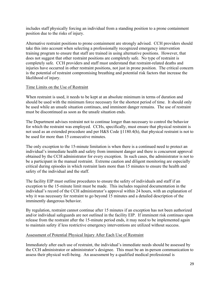includes staff physically forcing an individual from a standing position to a prone containment position due to the risks of injury.

Alternative restraint positions to prone containment are strongly advised. CCH providers should take this into account when selecting a professionally recognized emergency intervention training program to ensure that staff are trained in using alternative positions. However, that does not suggest that other restraint positions are completely safe. No type of restraint is completely safe. CCH providers and staff must understand that restraint-related deaths and injuries have occurred in other restraint positions, not just in prone position. The critical concern is the potential of restraint compromising breathing and potential risk factors that increase the likelihood of injury.

# Time Limits on the Use of Restraint

When restraint is used, it needs to be kept at an absolute minimum in terms of duration and should be used with the minimum force necessary for the shortest period of time. It should only be used while an unsafe situation continues, and imminent danger remains. The use of restraint must be discontinued as soon as the unsafe situation ends.

The Department advises restraint not to continue longer than necessary to control the behavior for which the restraint was employed. CCHs, specifically, must ensure that physical restraint is not used as an extended procedure and per H&S Code §1180.4(h), that physical restraint is not to be used for more than 15 consecutive minutes.

The only exception to the 15-minute limitation is when there is a continued need to protect an individual's immediate health and safety from imminent danger and there is concurrent approval obtained by the CCH administrator for every exception. In such cases, the administrator is not to be a participant in the manual restraint. Extreme caution and diligent monitoring are especially critical during episodes in which restraint lasts more than 15 minutes to ensure the health and safety of the individual and the staff.

The facility EIP must outline procedures to ensure the safety of individuals and staff if an exception to the 15-minute limit must be made. This includes required documentation in the individual's record of the CCH administrator's approval within 24 hours, with an explanation of why it was necessary for restraint to go beyond 15 minutes and a detailed description of the imminently dangerous behavior.

By regulation, restraint cannot continue after 15 minutes if an exception has not been authorized and/or individual safeguards are not outlined in the facility EIP. If imminent risk continues upon release from the restraint after the 15-minute period ends, it may need to be implemented again to maintain safety if less restrictive emergency interventions are utilized without success.

#### Assessment of Potential Physical Injury After Each Use of Restraint

Immediately after each use of restraint, the individual's immediate needs should be assessed by the CCH administrator or administrator's designee. This must be an in-person communication to assess their physical well-being. An assessment by a qualified medical professional is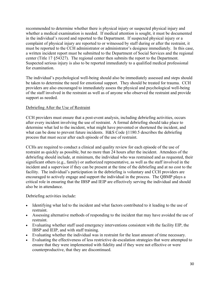recommended to determine whether there is physical injury or suspected physical injury and whether a medical examination is needed. If medical attention is sought, it must be documented in the individual's record and reported to the Department. If suspected physical injury or a complaint of physical injury are reported to or witnessed by staff during or after the restraint, it must be reported to the CCH administrator or administrator's designee immediately. In this case, a written incident report must be submitted to the Department of Social Services and the regional center (Title 17 §54327). The regional center then submits the report to the Department. Suspected serious injury is also to be reported immediately to a qualified medical professional for examination.

The individual's psychological well-being should also be immediately assessed and steps should be taken to determine the need for emotional support. They should be treated for trauma. CCH providers are also encouraged to immediately assess the physical and psychological well-being of the staff involved in the restraint as well as of anyone who observed the restraint and provide support as needed.

# Debriefing After the Use of Restraint

CCH providers must ensure that a post-event analysis, including debriefing activities, occurs after every incident involving the use of restraint. A formal debriefing should take place to determine what led to the incident, what might have prevented or shortened the incident, and what can be done to prevent future incidents. H&S Code §1180.5 describes the debriefing process that must occur after each episode of the use of restraint.

CCHs are required to conduct a clinical and quality review for each episode of the use of restraint as quickly as possible, but no more than 24 hours after the incident. Attendees of the debriefing should include, at minimum, the individual who was restrained and as requested, their significant others (e.g., family) or authorized representative, as well as the staff involved in the incident and a supervisor if they can be present at the time of the debriefing and at no cost to the facility. The individual's participation in the debriefing is voluntary and CCH providers are encouraged to actively engage and support the individual in the process. The QBMP plays a critical role in ensuring that the IBSP and IEIP are effectively serving the individual and should also be in attendance.

Debriefing activities include:

- Identifying what led to the incident and what factors contributed to it leading to the use of restraint.
- Assessing alternative methods of responding to the incident that may have avoided the use of restraint.
- Evaluating whether staff used emergency interventions consistent with the facility EIP, the IBSP and IEIP, and with staff training.
- Evaluating whether the individual was in restraint for the least amount of time necessary.
- Evaluating the effectiveness of less restrictive de-escalation strategies that were attempted to ensure that they were implemented with fidelity and if they were not effective or were counterproductive, that they are discontinued.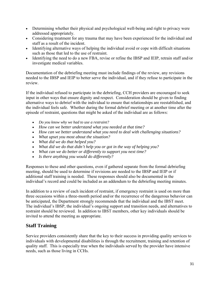- Determining whether their physical and psychological well-being and right to privacy were addressed appropriately.
- Considering treatment for any trauma that may have been experienced for the individual and staff as a result of the incident.
- Identifying alternative ways of helping the individual avoid or cope with difficult situations such as those that led to the use of restraint.
- Identifying the need to do a new FBA, revise or refine the IBSP and IEIP, retrain staff and/or investigate medical variables.

Documentation of the debriefing meeting must include findings of the review, any revisions needed to the IBSP and IEIP to better serve the individual, and if they refuse to participate in the review.

If the individual refused to participate in the debriefing, CCH providers are encouraged to seek input in other ways that ensure dignity and respect. Consideration should be given to finding alternative ways to debrief with the individual to ensure that relationships are reestablished, and the individual feels safe. Whether during the formal debrief meeting or at another time after the episode of restraint, questions that might be asked of the individual are as follows:

- *Do you know why we had to use a restraint?*
- *How can we better understand what you needed at that time?*
- *How can we better understand what you need to deal with challenging situations?*
- *What upset you most about the situation?*
- *What did we do that helped you?*
- *What did we do that didn't help you or got in the way of helping you?*
- *What can we do better or differently to support you next time?*
- *Is there anything you would do differently?*

Responses to these and other questions, even if gathered separate from the formal debriefing meeting, should be used to determine if revisions are needed to the IBSP and IEIP or if additional staff training is needed. These responses should also be documented in the individual's record and could be included as an addendum to the debriefing meeting minutes.

In addition to a review of each incident of restraint, if emergency restraint is used on more than three occasions within a three-month period and/or the recurrence of the dangerous behavior can be anticipated, the Department strongly recommends that the individual and the IBST meet. The individual's IBSP, the individual's ongoing support and transition needs, and alternatives to restraint should be reviewed. In addition to IBST members, other key individuals should be invited to attend the meeting as appropriate.

# **Staff Training**

Service providers consistently share that the key to their success in providing quality services to individuals with developmental disabilities is through the recruitment, training and retention of quality staff. This is especially true when the individuals served by the provider have intensive needs, such as those living in CCHs.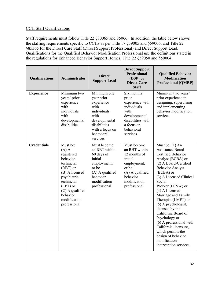# CCH Staff Qualifications

Staff requirements must follow Title 22 §80065 and 85066. In addition, the table below shows the staffing requirements specific to CCHs as per Title 17 §59005 and §59006, and Title 22 §85365 for the Direct Care Staff (Direct Support Professional) and Direct Support Lead. Qualifications for the Qualified Behavior Modification Professional use the definitions stated in the regulations for Enhanced Behavior Support Homes, Title 22 §59050 and §59004.

| Qualifications     | <b>Administrator</b>                                                                                                                                                                                | <b>Direct</b><br><b>Support Lead</b>                                                                                                                 | <b>Direct Support</b><br><b>Professional</b><br>(DSP) or<br><b>Direct Care</b><br><b>Staff</b>                                                 | <b>Qualified Behavior</b><br><b>Modification</b><br><b>Professional (QMBP)</b>                                                                                                                                                                                                                                                                                                                                                                                                                                 |
|--------------------|-----------------------------------------------------------------------------------------------------------------------------------------------------------------------------------------------------|------------------------------------------------------------------------------------------------------------------------------------------------------|------------------------------------------------------------------------------------------------------------------------------------------------|----------------------------------------------------------------------------------------------------------------------------------------------------------------------------------------------------------------------------------------------------------------------------------------------------------------------------------------------------------------------------------------------------------------------------------------------------------------------------------------------------------------|
| <b>Experience</b>  | Minimum two<br>years' prior<br>experience<br>with<br>individuals<br>with<br>developmental<br>disabilities                                                                                           | Minimum one<br>year prior<br>experience<br>with<br>individuals<br>with<br>developmental<br>disabilities<br>with a focus on<br>behavioral<br>services | Six months'<br>prior<br>experience with<br>individuals<br>with<br>developmental<br>disabilities with<br>a focus on<br>behavioral<br>services   | Minimum two years'<br>prior experience in<br>designing, supervising<br>and implementing<br>behavior modification<br>services                                                                                                                                                                                                                                                                                                                                                                                   |
| <b>Credentials</b> | Must be:<br>$(A)$ A<br>registered<br>behavior<br>technician<br>(RBT) or<br>(B) A licensed<br>psychiatric<br>technician<br>$(LPT)$ or<br>(C) A qualified<br>behavior<br>modification<br>professional | Must become<br>an RBT within<br>60 days of<br>initial<br>employment;<br>or be<br>(A) A qualified<br>behavior<br>modification<br>professional         | Must become<br>an RBT within<br>12 months of<br>initial<br>employment;<br>or be<br>(A) A qualified<br>behavior<br>modification<br>professional | Must be: $(1)$ An<br><b>Assistance Board</b><br>Certified Behavior<br>Analyst (BCBA) or<br>(2) A Board-Certified<br><b>Behavior Analyst</b><br>(BCBA) or<br>(3) A Licensed Clinical<br>Social<br>Worker (LCSW) or<br>(4) A Licensed<br>Marriage and Family<br>Therapist (LMFT) or<br>(5) A psychologist,<br>licensed by the<br>California Board of<br>Psychology or<br>$(6)$ A professional with<br>California licensure,<br>which permits the<br>design of behavior<br>modification<br>intervention services. |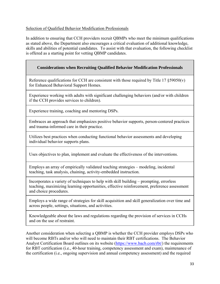# Selection of Qualified Behavior Modification Professionals

In addition to ensuring that CCH providers recruit QBMPs who meet the minimum qualifications as stated above, the Department also encourages a critical evaluation of additional knowledge, skills and abilities of potential candidates. To assist with that evaluation, the following checklist is offered as a starting point for vetting QBMP candidates.

# **Considerations when Recruiting Qualified Behavior Modification Professionals**

Reference qualifications for CCH are consistent with those required by Title 17  $\S 59050(v)$ for Enhanced Behavioral Support Homes.

Experience working with adults with significant challenging behaviors (and/or with children if the CCH provides services to children).

Experience training, coaching and mentoring DSPs.

Embraces an approach that emphasizes positive behavior supports, person-centered practices and trauma-informed care in their practice.

Utilizes best practices when conducting functional behavior assessments and developing individual behavior supports plans.

Uses objectives to plan, implement and evaluate the effectiveness of the interventions.

Employs an array of empirically validated teaching strategies – modeling, incidental teaching, task analysis, chaining, activity-embedded instruction.

Incorporates a variety of techniques to help with skill building – prompting, errorless teaching, maximizing learning opportunities, effective reinforcement, preference assessment and choice procedures.

Employs a wide range of strategies for skill acquisition and skill generalization over time and across people, settings, situations, and activities.

Knowledgeable about the laws and regulations regarding the provision of services in CCHs and on the use of restraint.

Another consideration when selecting a QBMP is whether the CCH provider employs DSPs who will become RBTs and/or who will need to maintain their RBT certifications. The Behavior Analyst Certification Board outlines on its website [\(https://www.bacb.com/rbt/](https://www.bacb.com/rbt)) the requirements for RBT certification (i.e., 40-hour training, competency assessment and exam), maintenance of the certification (i.e., ongoing supervision and annual competency assessment) and the required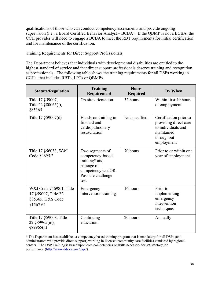qualifications of those who can conduct competency assessments and provide ongoing supervision (i.e., a Board Certified Behavior Analyst – BCBA). If the QBMP is not a BCBA, the CCH provider will need to engage a BCBA to meet the RBT requirements for initial certification and for maintenance of the certification.

#### Training Requirements for Direct Support Professionals

The Department believes that individuals with developmental disabilities are entitled to the highest standard of service and that direct support professionals deserve training and recognition as professionals. The following table shows the training requirements for all DSPs working in CCHs, that includes RBTs, LPTs or QBMPs.

| <b>Statute/Regulation</b>                                                      | <b>Training</b><br>Requirement                                                                                         | <b>Hours</b><br><b>Required</b> | <b>By When</b>                                                                                                  |
|--------------------------------------------------------------------------------|------------------------------------------------------------------------------------------------------------------------|---------------------------------|-----------------------------------------------------------------------------------------------------------------|
| Title 17 § 59007,<br>Title 22 §80065(f),<br>§85365                             | On-site orientation                                                                                                    | 32 hours                        | Within first 40 hours<br>of employment                                                                          |
| Title 17 §59007(d)                                                             | Hands-on training in<br>first aid and<br>cardiopulmonary<br>resuscitation                                              | Not specified                   | Certification prior to<br>providing direct care<br>to individuals and<br>maintained<br>throughout<br>employment |
| Title 17 §56033, W&I<br>Code §4695.2                                           | Two segments of<br>competency-based<br>training* and<br>passage of<br>competency test OR<br>Pass the challenge<br>test | 70 hours                        | Prior to or within one<br>year of employment                                                                    |
| W&I Code §4698.1, Title<br>17 §59007, Title 22<br>§85365, H&S Code<br>§1567.64 | Emergency<br>intervention training                                                                                     | 16 hours                        | Prior to<br>implementing<br>emergency<br>intervention<br>techniques                                             |
| Title 17 §59008, Title<br>22 §89965(m),<br>§89965(h)                           | Continuing<br>education                                                                                                | 20 hours                        | Annually                                                                                                        |

\* The Department has established a competency-based training program that is mandatory for all DSPs (and administrators who provide direct support) working in licensed community care facilities vendored by regional centers. The DSP Training is based upon core competencies or skills necessary for satisfactory job performance [\(http://www.dds.ca.gov/dspt/](http://www.dds.ca.gov/dspt)).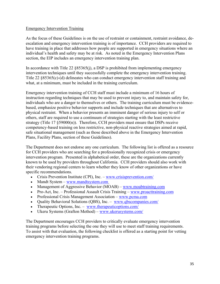#### Emergency Intervention Training

As the focus of these Guidelines is on the use of restraint or containment, restraint avoidance, deescalation and emergency intervention training is of importance. CCH providers are required to have training in place that addresses how people are supported in emergency situations where an individual's health and safety may be at risk. As noted in the Emergency Intervention Plans section, the EIP includes an emergency intervention training plan.

In accordance with Title 22  $\S 85365(i)$ , a DSP is prohibited from implementing emergency intervention techniques until they successfully complete the emergency intervention training. Title 22 §85365(c)-(d) delineates who can conduct emergency intervention staff training and what, at a minimum, must be included in the training curriculum.

Plans, Facility Plans, section of these Guidelines). Emergency intervention training of CCH staff must include a minimum of 16 hours of instruction regarding techniques that may be used to prevent injury to, and maintain safety for, individuals who are a danger to themselves or others. The training curriculum must be evidencebased, emphasize positive behavior supports and include techniques that are alternatives to physical restraint. When a behavior presents an imminent danger of serious injury to self or others, staff are required to use a continuum of strategies starting with the least restrictive strategy (Title 17  $\S 59000(n)$ ). Therefore, CCH providers must ensure that DSPs receive competency-based training on less restrictive, non-physical reactive strategies aimed at rapid, safe situational management (such as those described above in the Emergency Intervention

The Department does not endorse any one curriculum. The following list is offered as a resource for CCH providers who are searching for a professionally recognized crisis or emergency intervention program. Presented in alphabetical order, these are the organizations currently known to be used by providers throughout California. CCH providers should also work with their vendoring regional centers to learn whether they know of other organizations or have specific recommendations.

- Crisis Prevention Institute (CPI), Inc. <www.crisisprevention.com>/
- Mandt System –<www.mandtsystem.com>
- Management of Aggressive Behavior (MOAB) www.moabtraining.com
- Pro-Act, Inc. Professional Assault Crisis Training –<www.proacttraining.com>
- Professional Crisis Management Association www.pcma.com
- Quality Behavioral Solutions (QBS), Inc. [www.qbscompanies.com/](www.qbscompanies.com)
- Therapeutic Options, Inc. [www.therapeuticoptions.com/](www.therapeuticoptions.com)
- Ukeru Systems (Grafton Method) –<www.ukerusystems.com>/

The Department encourages CCH providers to critically evaluate emergency intervention training programs before selecting the one they will use to meet staff training requirements. To assist with that evaluation, the following checklist is offered as a starting point for vetting emergency intervention training programs.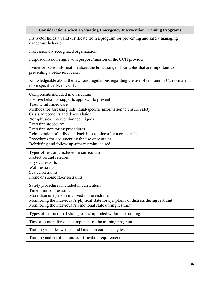#### **Considerations when Evaluating Emergency Intervention Training Programs**

Instructor holds a valid certificate from a program for preventing and safely managing dangerous behavior

Professionally recognized organization

Purpose/mission aligns with purpose/mission of the CCH provider

Evidence-based information about the broad range of variables that are important to preventing a behavioral crisis

Knowledgeable about the laws and regulations regarding the use of restraint in California and more specifically, in CCHs

Components included in curriculum Components included in curriculum Positive behavior supports approach to prevention Trauma informed care Methods for assessing individual-specific information to ensure safety Crisis antecedents and de-escalation Non-physical intervention techniques Restraint procedures Restraint monitoring procedures Reintegration of individual back into routine after a crisis ends Procedures for documenting the use of restraint Debriefing and follow-up after restraint is used

Types of restraint included in curriculum Protection and releases

Physical escorts Wall restraints

Seated restraints

Prone or supine floor restraints

Safety procedures included in curriculum Time limits on restraint

More than one person involved in the restraint

Monitoring the individual's physical state for symptoms of distress during restraint Monitoring the individual's emotional state during restraint

Types of instructional strategies incorporated within the training

Time allotment for each component of the training program Training includes written and hands-on competency test

Training and certification/recertification requirements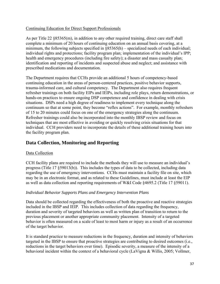# Continuing Education for Direct Support Professionals

As per Title 22 §85365(m), in addition to any other required training, direct care staff shall complete a minimum of 20 hours of continuing education on an annual basis covering, at a minimum, the following subjects specified in §85365(h) – specialized needs of each individual; individual rights and protections; facility program plan; implementation of the individual's IPP; health and emergency procedures (including fire safety); a disaster and mass casualty plan; identification and reporting of incidents and suspected abuse and neglect; and assistance with prescribed medications and documentation.

of 15 to 20 minutes could focus on one of the emergency strategies along the continuum. The Department requires that CCHs provide an additional 5 hours of competency-based continuing education in the areas of person-centered practices, positive behavior supports, trauma-informed care, and cultural competency. The Department also requires frequent refresher trainings on both facility EIPs and IEIPs, including role plays, return demonstrations, or hands-on practices to ensure ongoing DSP competence and confidence in dealing with crisis situations. DSPs need a high degree of readiness to implement every technique along the continuum so that at some point, they become "reflex actions". For example, monthly refreshers Refresher trainings could also be incorporated into the monthly IBSP review and focus on techniques that are most effective in avoiding or quickly resolving crisis situations for that individual. CCH providers need to incorporate the details of these additional training hours into the facility program plan.

# **Data Collection, Monitoring and Reporting**

# Data Collection

CCH facility plans are required to include the methods they will use to measure an individual's progress (Title 17 §59013(b)). This includes the types of data to be collected, including data regarding the use of emergency interventions. CCHs must maintain a facility file on site, which may be in an electronic format, and as related to these Guidelines, must include at least the EIP as well as data collection and reporting requirements of W&I Code §4695.2 (Title 17 §59011).

# *Individual Behavior Supports Plans and Emergency Intervention Plans*

Data should be collected regarding the effectiveness of both the proactive and reactive strategies included in the IBSP and IEIP. This includes collection of data regarding the frequency, duration and severity of targeted behaviors as well as written plan of transition to return to the previous placement or another appropriate community placement. Intensity of a targeted behavior is often measured on a scale of least to most harm or injury as a result of an occurrence of the target behavior.

It is standard practice to measure reductions in the frequency, duration and intensity of behaviors targeted in the IBSP to ensure that proactive strategies are contributing to desired outcomes (i.e., reductions in the target behaviors over time). Episodic severity, a measure of the intensity of a behavioral incident within the context of a behavioral cycle (LaVigna & Willis, 2005; Vollmer,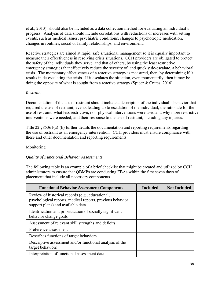et al., 2013), should also be included as a data collection method for evaluating an individual's progress. Analysis of data should include correlations with reductions or increases with setting events, such as medical issues, psychiatric conditions, changes to psychotropic medication, changes in routines, social or family relationships, and environment.

Reactive strategies are aimed at rapid, safe situational management so it is equally important to measure their effectiveness in resolving crisis situations. CCH providers are obligated to protect the safety of the individuals they serve, and that of others, by using the least restrictive emergency strategies that effectively reduce the severity of, and quickly de-escalate, a behavioral crisis. The momentary effectiveness of a reactive strategy is measured, then, by determining if it results in de-escalating the crisis. If it escalates the situation, even momentarily, then it may be doing the opposite of what is sought from a reactive strategy (Spicer & Crates, 2016).

# *Restraint*

Documentation of the use of restraint should include a description of the individual's behavior that required the use of restraint; events leading up to escalation of the individual; the rationale for the use of restraint; what less restrictive, non-physical interventions were used and why more restrictive interventions were needed; and their response to the use of restraint, including any injuries.

Title 22 §85361(a)-(h) further details the documentation and reporting requirements regarding the use of restraint as an emergency intervention. CCH providers must ensure compliance with these and other documentation and reporting requirements.

# Monitoring

# *Quality of Functional Behavior Assessments*

The following table is an example of a brief checklist that might be created and utilized by CCH administrators to ensure that QBMPs are conducting FBAs within the first seven days of placement that include all necessary components.

| <b>Functional Behavior Assessment Components</b>                                                                                                   | <b>Included</b> | <b>Not Included</b> |
|----------------------------------------------------------------------------------------------------------------------------------------------------|-----------------|---------------------|
| Review of historical records (e.g., educational,<br>psychological reports, medical reports, previous behavior<br>support plans) and available data |                 |                     |
| Identification and prioritization of socially significant<br>behavior change goals                                                                 |                 |                     |
| Assessment of relevant skill strengths and deficits                                                                                                |                 |                     |
| Preference assessment                                                                                                                              |                 |                     |
| Describes functions of target behaviors                                                                                                            |                 |                     |
| Descriptive assessment and/or functional analysis of the<br>target behaviors                                                                       |                 |                     |
| Interpretation of functional assessment data                                                                                                       |                 |                     |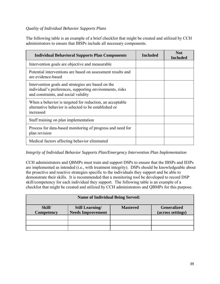# *Quality of Individual Behavior Supports Plans*

The following table is an example of a brief checklist that might be created and utilized by CCH administrators to ensure that IBSPs include all necessary components.

| <b>Individual Behavioral Supports Plan Components</b>                                                                                                  | <b>Included</b> | <b>Not</b><br><b>Included</b> |
|--------------------------------------------------------------------------------------------------------------------------------------------------------|-----------------|-------------------------------|
| Intervention goals are objective and measurable                                                                                                        |                 |                               |
| Potential interventions are based on assessment results and<br>are evidence-based                                                                      |                 |                               |
| Intervention goals and strategies are based on the<br>individual's preferences, supporting environments, risks<br>and constraints, and social validity |                 |                               |
| When a behavior is targeted for reduction, an acceptable<br>alternative behavior is selected to be established or<br>increased                         |                 |                               |
| Staff training on plan implementation                                                                                                                  |                 |                               |
| Process for data-based monitoring of progress and need for<br>plan revision                                                                            |                 |                               |
| Medical factors affecting behavior eliminated                                                                                                          |                 |                               |

# *Integrity of Individual Behavior Supports Plan/Emergency Intervention Plan Implementation*

CCH administrators and QBMPs must train and support DSPs to ensure that the IBSPs and IEIPs are implemented as intended (i.e., with treatment integrity). DSPs should be knowledgeable about the proactive and reactive strategies specific to the individuals they support and be able to demonstrate their skills. It is recommended that a monitoring tool be developed to record DSP skill/competency for each individual they support. The following table is an example of a checklist that might be created and utilized by CCH administrators and QBMPs for this purpose.

| <b>Name of Individual Being Served:</b>                                                                                                  |  |  |  |  |  |  |  |
|------------------------------------------------------------------------------------------------------------------------------------------|--|--|--|--|--|--|--|
| Skill/<br><b>Generalized</b><br><b>Still Learning/</b><br><b>Mastered</b><br><b>Needs Improvement</b><br>Competency<br>(across settings) |  |  |  |  |  |  |  |
|                                                                                                                                          |  |  |  |  |  |  |  |
|                                                                                                                                          |  |  |  |  |  |  |  |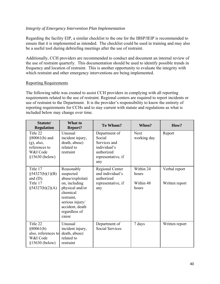# *Integrity of Emergency Intervention Plan Implementation*

Regarding the facility EIP, a similar checklist to the one for the IBSP/IEIP is recommended to ensure that it is implemented as intended. The checklist could be used in training and may also be a useful tool during debriefing meetings after the use of restraint.

Additionally, CCH providers are recommended to conduct and document an internal review of the use of restraint quarterly. This documentation should be used to identify possible trends in frequency and location of restraint. This is another opportunity to evaluate the integrity with which restraint and other emergency interventions are being implemented.

# Reporting Requirements

The following table was created to assist CCH providers in complying with all reporting requirements related to the use of restraint. Regional centers are required to report incidents or use of restraint to the Department. It is the provider's responsibility to know the entirety of reporting requirements for CCHs and to stay current with statute and regulations as what is included below may change over time.

| Statute/<br><b>Regulation</b>                                                               | What to<br><b>Report?</b>                                                                                                                                                 | To Whom?                                                                                           | When?                                    | How?                            |
|---------------------------------------------------------------------------------------------|---------------------------------------------------------------------------------------------------------------------------------------------------------------------------|----------------------------------------------------------------------------------------------------|------------------------------------------|---------------------------------|
| Title 22<br>§80061(b) and<br>$(g)$ , also,<br>references to<br>W&I Code<br>$§15630$ (below) | Unusual<br>incident injury,<br>death, abuse)<br>related to<br>restraint                                                                                                   | Department of<br>Social<br>Services and<br>individual's<br>authorized<br>representative, if<br>any | <b>Next</b><br>working day               | Report                          |
| Title 17<br>§54327(b)(1)(B)<br>and $(D)$ ;<br>Title 17<br>§54327(b)(2)(A)                   | Reasonably<br>suspected<br>abuse/exploitati<br>on, including<br>physical and/or<br>chemical<br>restraint,<br>serious injury/<br>accident, death<br>regardless of<br>cause | Regional Center<br>and individual's<br>authorized<br>representative, if<br>any                     | Within 24<br>hours<br>Within 48<br>hours | Verbal report<br>Written report |
| Title 22<br>§80061(b)<br>also, references to<br>W&I Code<br>$§15630$ (below)                | Unusual<br>incident injury,<br>death, abuse)<br>related to<br>restraint                                                                                                   | Department of<br><b>Social Services</b>                                                            | 7 days                                   | Written report                  |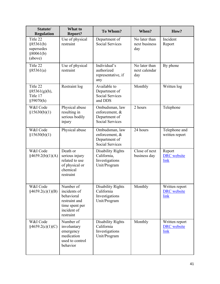| Statute/<br><b>Regulation</b>                               | What to<br><b>Report?</b>                                                                              | To Whom?                                                                    | When?                                 | How?                                         |
|-------------------------------------------------------------|--------------------------------------------------------------------------------------------------------|-----------------------------------------------------------------------------|---------------------------------------|----------------------------------------------|
| Title 22<br>§85361(b)<br>supersedes<br>§80061(b)<br>(above) | Use of physical<br>restraint                                                                           | Department of<br><b>Social Services</b>                                     | No later than<br>next business<br>day | Incident<br>Report                           |
| Title 22<br>§85361(a)                                       | Use of physical<br>restraint                                                                           | Individual's<br>authorized<br>representative, if<br>any                     | No later than<br>next calendar<br>day | By phone                                     |
| Title 22<br>§85361(g)(h),<br>Title 17<br>§59070(h)          | Restraint log                                                                                          | Available to<br>Department of<br><b>Social Services</b><br>and DDS          | Monthly                               | Written log                                  |
| W&I Code<br>§15630(b)(1)                                    | Physical abuse<br>resulting in<br>serious bodily<br>injury                                             | Ombudsman, law<br>enforcement, &<br>Department of<br><b>Social Services</b> | 2 hours                               | Telephone                                    |
| W&I Code<br>§15630(b)(1)                                    | Physical abuse                                                                                         | Ombudsman, law<br>enforcement, &<br>Department of<br><b>Social Services</b> | 24 hours                              | Telephone and<br>written report              |
| W&I Code<br>§4659.2(b)(1)(A)                                | Death or<br>serious injury<br>related to use<br>of physical or<br>chemical<br>restraint                | <b>Disability Rights</b><br>California,<br>Investigations<br>Unit/Program   | Close of next<br>business day         | Report<br><b>DRC</b> website<br>link         |
| W&I Code<br>$\frac{$4659.2(c)(1)(B)}{}$                     | Number of<br>incidents of<br>behavioral<br>restraint and<br>time spent per<br>incident of<br>restraint | Disability Rights<br>California<br>Investigations<br>Unit/Program           | Monthly                               | Written report<br><b>DRC</b> website<br>link |
| W&I Code<br>§4659.2(c)(1)(C)                                | Number of<br>involuntary<br>emergency<br>medication<br>used to control<br>behavior                     | <b>Disability Rights</b><br>California<br>Investigations<br>Unit/Program    | Monthly                               | Written report<br><b>DRC</b> website<br>link |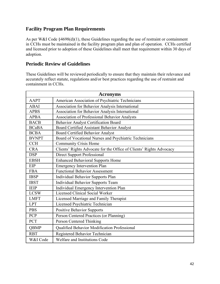# **Facility Program Plan Requirements**

As per W&I Code §4698(d)(1), these Guidelines regarding the use of restraint or containment in CCHs must be maintained in the facility program plan and plan of operation. CCHs certified and licensed prior to adoption of these Guidelines shall meet that requirement within 30 days of adoption.

# **Periodic Review of Guidelines**

These Guidelines will be reviewed periodically to ensure that they maintain their relevance and accurately reflect statute, regulations and/or best practices regarding the use of restraint and containment in CCHs.

| <b>Acronyms</b>                 |                                                                     |  |  |
|---------------------------------|---------------------------------------------------------------------|--|--|
| <b>AAPT</b>                     | American Association of Psychiatric Technicians                     |  |  |
| <b>ABAI</b>                     | Association for Behavior Analysis International                     |  |  |
| <b>APBS</b>                     | Association for Behavior Analysis International                     |  |  |
| <b>APBA</b>                     | Association of Professional Behavior Analysts                       |  |  |
| <b>BACB</b>                     | <b>Behavior Analyst Certification Board</b>                         |  |  |
| <b>BCaBA</b>                    | Board Certified Assistant Behavior Analyst                          |  |  |
| <b>BCBA</b>                     | <b>Board Certified Behavior Analyst</b>                             |  |  |
| <b>BVNPT</b>                    | Board of Vocational Nurses and Psychiatric Technicians              |  |  |
| CCH                             | <b>Community Crisis Home</b>                                        |  |  |
| <b>CRA</b>                      | Clients' Rights Advocate for the Office of Clients' Rights Advocacy |  |  |
| <b>DSP</b>                      | <b>Direct Support Professional</b>                                  |  |  |
| <b>EBSH</b>                     | <b>Enhanced Behavioral Supports Home</b>                            |  |  |
| <b>EIP</b>                      | <b>Emergency Intervention Plan</b>                                  |  |  |
| <b>FBA</b>                      | <b>Functional Behavior Assessment</b>                               |  |  |
| <b>IBSP</b>                     | <b>Individual Behavior Supports Plan</b>                            |  |  |
| <b>IBST</b>                     | <b>Individual Behavior Supports Team</b>                            |  |  |
| <b>IEIP</b>                     | Individual Emergency Intervention Plan                              |  |  |
| <b>LCSW</b>                     | <b>Licensed Clinical Social Worker</b>                              |  |  |
| <b>LMFT</b>                     | Licensed Marriage and Family Therapist                              |  |  |
| <b>LPT</b>                      | Licensed Psychiatric Technician                                     |  |  |
| <b>PBS</b>                      | <b>Positive Behavior Supports</b>                                   |  |  |
| PCP                             | Person Centered Practices (or Planning)                             |  |  |
| PCT<br>Person Centered Thinking |                                                                     |  |  |
| QBMP                            | Qualified Behavior Modification Professional                        |  |  |
| <b>RBT</b>                      | Registered Behavior Technician                                      |  |  |
| W&I Code                        | Welfare and Institutions Code                                       |  |  |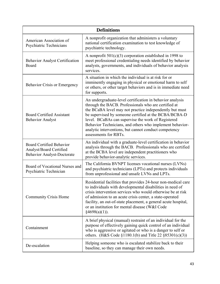| <b>Definitions</b>                                                                              |                                                                                                                                                                                                                                                                                                                                                                                                                                           |  |
|-------------------------------------------------------------------------------------------------|-------------------------------------------------------------------------------------------------------------------------------------------------------------------------------------------------------------------------------------------------------------------------------------------------------------------------------------------------------------------------------------------------------------------------------------------|--|
| American Association of<br><b>Psychiatric Technicians</b>                                       | A nonprofit organization that administers a voluntary<br>national certification examination to test knowledge of<br>psychiatric technology.                                                                                                                                                                                                                                                                                               |  |
| <b>Behavior Analyst Certification</b><br>Board                                                  | A nonprofit $501(c)(3)$ corporation established in 1998 to<br>meet professional credentialing needs identified by behavior<br>analysts, governments, and individuals of behavior analysis<br>services.                                                                                                                                                                                                                                    |  |
| <b>Behavior Crisis or Emergency</b>                                                             | A situation in which the individual is at risk for or<br>imminently engaging in physical or emotional harm to self<br>or others, or other target behaviors and is in immediate need<br>for supports.                                                                                                                                                                                                                                      |  |
| <b>Board Certified Assistant</b><br><b>Behavior Analyst</b>                                     | An undergraduate-level certification in behavior analysis<br>through the BACB. Professionals who are certified at<br>the BCaBA level may not practice independently but must<br>be supervised by someone certified at the BCBA/BCBA-D<br>level. BCaBAs can supervise the work of Registered<br>Behavior Technicians, and others who implement behavior-<br>analytic interventions, but cannot conduct competency<br>assessments for RBTs. |  |
| <b>Board Certified Behavior</b><br>Analyst/Board Certified<br><b>Behavior Analyst-Doctorate</b> | An individual with a graduate-level certification in behavior<br>analysis through the BACB. Professionals who are certified<br>at the BCBA level are independent practitioners who<br>provide behavior-analytic services.                                                                                                                                                                                                                 |  |
| Board of Vocational Nurses and<br>Psychiatric Technician                                        | The California BVNPT licenses vocational nurses (LVNs)<br>and psychiatric technicians (LPTs) and protects individuals<br>from unprofessional and unsafe LVNs and LPTs.                                                                                                                                                                                                                                                                    |  |
| <b>Community Crisis Home</b>                                                                    | Residential facilities that provides 24-hour non-medical care<br>to individuals with developmental disabilities in need of<br>crisis intervention services who would otherwise be at risk<br>of admission to an acute crisis center, a state-operated<br>facility, an out-of-state placement, a general acute hospital,<br>or an institution for mental disease (W&I Code<br>§4698(a)(1)).                                                |  |
| Containment                                                                                     | A brief physical (manual) restraint of an individual for the<br>purpose of effectively gaining quick control of an individual<br>who is aggressive or agitated or who is a danger to self or<br>others. (H&S Code $\S 1180.1(b)$ and Title 22 $\S 85301(c)(3)$ )                                                                                                                                                                          |  |
| De-escalation                                                                                   | Helping someone who is escalated stabilize back to their<br>baseline, so they can manage their own needs.                                                                                                                                                                                                                                                                                                                                 |  |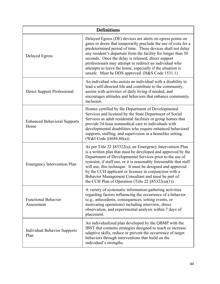| <b>Definitions</b>                          |                                                                                                                                                                                                                                                                                                                                                                                                                                                                                                                    |  |
|---------------------------------------------|--------------------------------------------------------------------------------------------------------------------------------------------------------------------------------------------------------------------------------------------------------------------------------------------------------------------------------------------------------------------------------------------------------------------------------------------------------------------------------------------------------------------|--|
| <b>Delayed Egress</b>                       | Delayed Egress (DE) devices are alerts on egress points on<br>gates or doors that temporarily preclude the use of exits for a<br>predetermined period of time. These devices shall not delay<br>any resident's departure from the facility for longer than 30<br>seconds. Once the delay is released, direct support<br>professionals may attempt to redirect an individual who<br>attempts to leave the home, especially if the situation is<br>unsafe. Must be DDS approved. (H&S Code 1531.1)                   |  |
| <b>Direct Support Professional</b>          | An individual who assists an individual with a disability to<br>lead a self-directed life and contribute to the community,<br>assists with activities of daily living if needed, and<br>encourages attitudes and behaviors that enhance community<br>inclusion.                                                                                                                                                                                                                                                    |  |
| <b>Enhanced Behavioral Supports</b><br>Home | Homes certified by the Department of Developmental<br>Services and licensed by the State Department of Social<br>Services as adult residential facilities or group homes that<br>provide 24-hour nonmedical care to individuals with<br>developmental disabilities who require enhanced behavioral<br>supports, staffing, and supervision in a homelike setting.<br>(W&I Code §4684.80(a))                                                                                                                         |  |
| <b>Emergency Intervention Plan</b>          | As per Title $22 \frac{885322(a)}{a}$ , an Emergency Intervention Plan<br>is a written plan that must be developed and approved by the<br>Department of Developmental Services prior to the use of<br>restraint, if staff use, or it is reasonably foreseeable that staff<br>will use, this technique. It must be designed and approved<br>by the CCH applicant or licensee in conjunction with a<br>Behavior Management Consultant and must be part of<br>the CCH Plan of Operation (Title 22 $\S 85322(a)(1)$ ). |  |
| <b>Functional Behavior</b><br>Assessment    | A variety of systematic information-gathering activities<br>regarding factors influencing the occurrence of a behavior<br>(e.g., antecedents, consequences, setting events, or<br>motivating operations) including interview, direct<br>observation, and experimental analysis within 7 days of<br>placement.                                                                                                                                                                                                      |  |
| <b>Individual Behavior Supports</b><br>Plan | An individualized plan developed by the QBMP with the<br>IBST that contains strategies designed to teach or increase<br>adaptive skills, reduce or prevent the occurrence of target<br>behaviors through interventions that build on the<br>individual's strengths.                                                                                                                                                                                                                                                |  |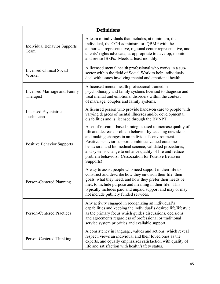| <b>Definitions</b>                          |                                                                                                                                                                                                                                                                                                                                                                                                                                         |  |
|---------------------------------------------|-----------------------------------------------------------------------------------------------------------------------------------------------------------------------------------------------------------------------------------------------------------------------------------------------------------------------------------------------------------------------------------------------------------------------------------------|--|
| <b>Individual Behavior Supports</b><br>Team | A team of individuals that includes, at minimum, the<br>individual, the CCH administrator, QBMP with the<br>authorized representative, regional center representative, and<br>clients' rights advocate, as appropriate to develop, monitor<br>and revise IBSPs. Meets at least monthly.                                                                                                                                                 |  |
| Licensed Clinical Social<br>Worker          | A licensed mental health professional who works in a sub-<br>sector within the field of Social Work to help individuals<br>deal with issues involving mental and emotional health.                                                                                                                                                                                                                                                      |  |
| Licensed Marriage and Family<br>Therapist   | A licensed mental health professional trained in<br>psychotherapy and family systems licensed to diagnose and<br>treat mental and emotional disorders within the context<br>of marriage, couples and family systems.                                                                                                                                                                                                                    |  |
| Licensed Psychiatric<br>Technician          | A licensed person who provide hands-on care to people with<br>varying degrees of mental illnesses and/or developmental<br>disabilities and is licensed through the BVNPT.                                                                                                                                                                                                                                                               |  |
| <b>Positive Behavior Supports</b>           | A set of research-based strategies used to increase quality of<br>life and decrease problem behavior by teaching new skills<br>and making changes in an individual's environment.<br>Positive behavior support combines: valued outcomes;<br>behavioral and biomedical science; validated procedures;<br>and systems change to enhance quality of life and reduce<br>problem behaviors. (Association for Positive Behavior<br>Supports) |  |
| Person-Centered Planning                    | A way to assist people who need support in their life to<br>construct and describe how they envision their life, their<br>goals, what they need, and how they prefer their needs be<br>met, to include purpose and meaning in their life. This<br>typically includes paid and unpaid support and may or may<br>not include publicly funded services.                                                                                    |  |
| <b>Person-Centered Practices</b>            | Any activity engaged in recognizing an individual's<br>capabilities and keeping the individual's desired life/lifestyle<br>as the primary focus which guides discussions, decisions<br>and agreements regardless of professional or traditional<br>service system priorities and available support.                                                                                                                                     |  |
| Person-Centered Thinking                    | A consistency in language, values and actions, which reveal<br>respect, views an individual and their loved ones as the<br>experts, and equally emphasizes satisfaction with quality of<br>life and satisfaction with health/safety status.                                                                                                                                                                                             |  |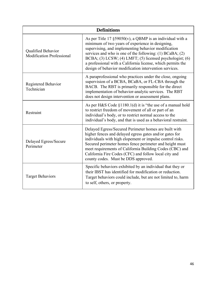| <b>Definitions</b>                                     |                                                                                                                                                                                                                                                                                                                                                                                                                                |  |
|--------------------------------------------------------|--------------------------------------------------------------------------------------------------------------------------------------------------------------------------------------------------------------------------------------------------------------------------------------------------------------------------------------------------------------------------------------------------------------------------------|--|
| Qualified Behavior<br><b>Modification Professional</b> | As per Title 17 $\S59050(v)$ , a QBMP is an individual with a<br>minimum of two years of experience in designing,<br>supervising, and implementing behavior modification<br>services and who is one of the following: $(1) BCaBA$ ; $(2)$<br>BCBA; (3) LCSW; (4) LMFT; (5) licensed psychologist; (6)<br>a professional with a California license, which permits the<br>design of behavior modification intervention services. |  |
| Registered Behavior<br>Technician                      | A paraprofessional who practices under the close, ongoing<br>supervision of a BCBA, BCaBA, or FL-CBA through the<br>BACB. The RBT is primarily responsible for the direct<br>implementation of behavior-analytic services. The RBT<br>does not design intervention or assessment plans.                                                                                                                                        |  |
| Restraint                                              | As per H&S Code $\S1180.1(d)$ it is "the use of a manual hold<br>to restrict freedom of movement of all or part of an<br>individual's body, or to restrict normal access to the<br>individual's body, and that is used as a behavioral restraint.                                                                                                                                                                              |  |
| Delayed Egress/Secure<br>Perimeter                     | Delayed Egress/Secured Perimeter homes are built with<br>higher fences and delayed egress gates and/or gates for<br>individuals with high elopement or impulse control risks.<br>Secured perimeter homes fence perimeter and height must<br>meet requirements of California Building Codes (CBC) and<br>California Fire Codes (CFC) and follow local city and<br>county codes. Must be DDS approved.                           |  |
| <b>Target Behaviors</b>                                | Specific behaviors exhibited by an individual that they or<br>their IBST has identified for modification or reduction.<br>Target behaviors could include, but are not limited to, harm<br>to self, others, or property.                                                                                                                                                                                                        |  |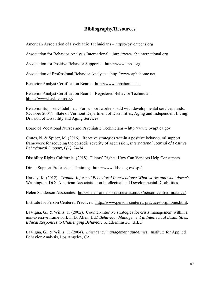# **Bibliography/Resources**

American Association of Psychiatric Technicians –<https://psychtechs.org>

Association for Behavior Analysis International – <http://www.abainternational.org>

Association for Positive Behavior Supports –<http://www.apbs.org>

Association of Professional Behavior Analysts – <http://www.apbahome.net>

Behavior Analyst Certification Board –<http://www.apbahome.net>

Behavior Analyst Certification Board – Registered Behavior Technician <https://www.bacb.com/rbt>/.

Behavior Support Guidelines: For support workers paid with developmental services funds. (October 2004). State of Vermont Department of Disabilities, Aging and Independent Living: Division of Disability and Aging Services.

Board of Vocational Nurses and Psychiatric Technicians –<http://www.bvnpt.ca.gov>

Crates, N. & Spicer, M. (2016). Reactive strategies within a positive behavioural support framework for reducing the episodic severity of aggression, *International Journal of Positive Behavioural Support, 6(1),* 24-34.

Disability Rights California. (2018). Clients' Rights: How Can Vendors Help Consumers.

Direct Support Professional Training. <http://www.dds.ca.gov/dspt>/.

 Harvey, K. (2012). *Trauma-Informed Behavioral Interventions: What works and what doesn't.*  Washington, DC: American Association on Intellectual and Developmental Disabilities.

Helen Sanderson Associates. [http://helensandersonassociates.co.uk/person-centred-practice/](http://helensandersonassociates.co.uk/person-centred-practice).

Institute for Person Centered Practices. <http://www.person-centered-practices.org/home.html>.

LaVigna, G., & Willis, T. (2002). Counter-intuitive strategies for crisis management within a non-aversive framework in D. Allen (Ed.) *Behaviour Management in Intellectual Disabilities: Ethical Responses to Challenging Behavior.* Kidderminster: BILD.

LaVigna, G., & Willis, T. (2004). *Emergency management guidelines*. Institute for Applied Behavior Analysis, Los Angeles, CA.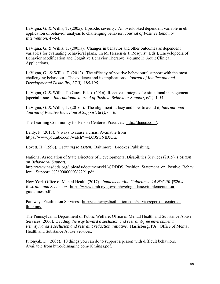LaVigna, G. & Willis, T. (2005). Episodic severity: An overlooked dependent variable in eh application of behavior analysis to challenging behavior, *Journal of Positive Behavior Intervention*, 47-54.

LaVigna, G. & Willis, T. (2005a). Changes in behavior and other outcomes as dependent variables for evaluating behavioral plans. In M. Hersen & J. Rosqvist (Eds.), Encyclopedia of Behavior Modification and Cognitive Behavior Therapy: Volume I: Adult Clinical Applications.

Developmental Disability, 37(3), 185-195. LaVigna, G., & Willis, T. (2012). The efficacy of positive behavioural support with the most challenging behaviour: The evidence and its implications. *Journal of Intellectual and* 

LaVigna, G. & Willis, T. (Guest Eds.). (2016). Reactive strategies for situational management [special issue]. *International Journal of Positive Behaviour Support, 6(1)*, 1-54.

LaVigna, G. & Willis, T. (2016b). The alignment fallacy and how to avoid it, *International Journal of Positive Behavioural Support, 6(1),* 6-16.

The Learning Community for Person Centered Practices. <http://tlcpcp.com>/.

Leidy, P. (2015). 7 ways to cause a crisis. Available from <https://www.youtube.com/watch?v=LOJSwNflXOE>.

Lovett, H. (1996). *Learning to Listen*. Baltimore: Brookes Publishing.

National Association of State Directors of Developmental Disabilities Services (2015). *Position on Behavioral Support.*  http://www.nasddds.org/uploads/documents/NASDDDS\_Position\_Statement\_on\_Postive\_Behav ioral\_Support\_%2800000003%291.pdf

New York Office of Mental Health (2017). *Implementation Guidelines: 14 NYCRR §526.4 Restraint and Seclusion.* <https://www.omh.ny.gov/omhweb/guidance/implementation>guidelines.pdf.

Pathways Facilitation Services. <http://pathwaysfacilitation.com/services/person-centered>thinking/.

The Pennsylvania Department of Public Welfare, Office of Mental Health and Substance Abuse Services (2000). *Leading the way toward a seclusion and restraint-free environment: Pennsylvania's seclusion and restraint reduction initiative.* Harrisburg, PA: Office of Mental Health and Substance Abuse Services.

Pitonyak, D. (2005). 10 things you can do to support a person with difficult behaviors. Available from [http://dimagine.com/10things.pdf.](http://dimagine.com/10things.pdf)